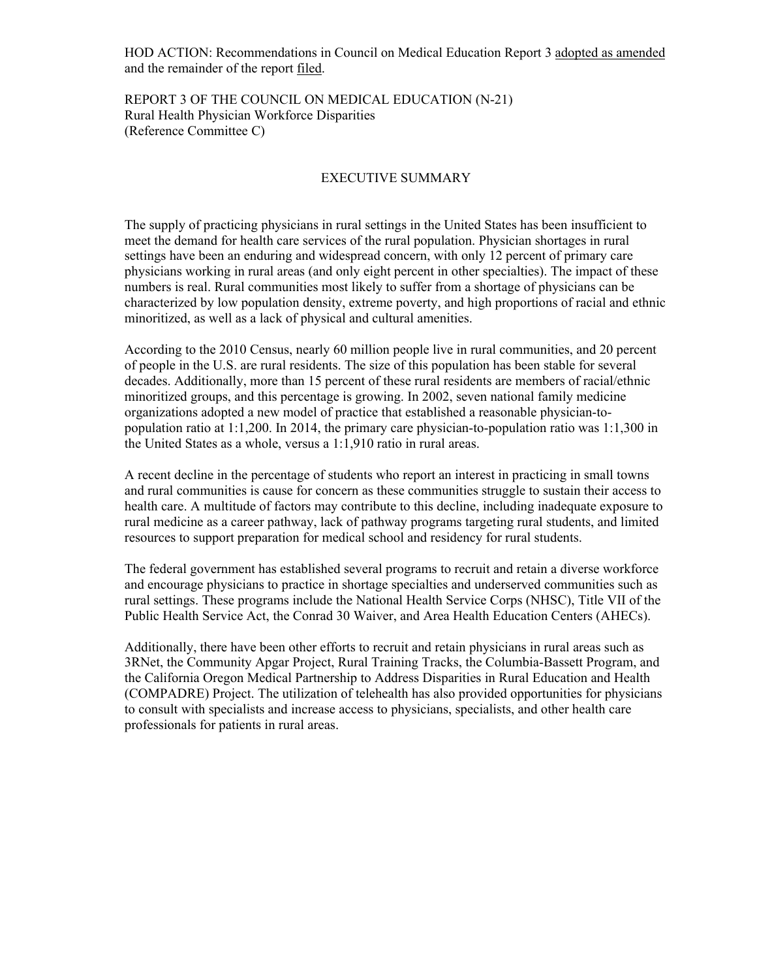HOD ACTION: Recommendations in Council on Medical Education Report 3 adopted as amended and the remainder of the report filed.

REPORT 3 OF THE COUNCIL ON MEDICAL EDUCATION (N-21) Rural Health Physician Workforce Disparities (Reference Committee C)

#### EXECUTIVE SUMMARY

The supply of practicing physicians in rural settings in the United States has been insufficient to meet the demand for health care services of the rural population. Physician shortages in rural settings have been an enduring and widespread concern, with only 12 percent of primary care physicians working in rural areas (and only eight percent in other specialties). The impact of these numbers is real. Rural communities most likely to suffer from a shortage of physicians can be characterized by low population density, extreme poverty, and high proportions of racial and ethnic minoritized, as well as a lack of physical and cultural amenities.

According to the 2010 Census, nearly 60 million people live in rural communities, and 20 percent of people in the U.S. are rural residents. The size of this population has been stable for several decades. Additionally, more than 15 percent of these rural residents are members of racial/ethnic minoritized groups, and this percentage is growing. In 2002, seven national family medicine organizations adopted a new model of practice that established a reasonable physician-topopulation ratio at 1:1,200. In 2014, the primary care physician-to-population ratio was 1:1,300 in the United States as a whole, versus a 1:1,910 ratio in rural areas.

A recent decline in the percentage of students who report an interest in practicing in small towns and rural communities is cause for concern as these communities struggle to sustain their access to health care. A multitude of factors may contribute to this decline, including inadequate exposure to rural medicine as a career pathway, lack of pathway programs targeting rural students, and limited resources to support preparation for medical school and residency for rural students.

The federal government has established several programs to recruit and retain a diverse workforce and encourage physicians to practice in shortage specialties and underserved communities such as rural settings. These programs include the National Health Service Corps (NHSC), Title VII of the Public Health Service Act, the Conrad 30 Waiver, and Area Health Education Centers (AHECs).

Additionally, there have been other efforts to recruit and retain physicians in rural areas such as 3RNet, the Community Apgar Project, Rural Training Tracks, the Columbia-Bassett Program, and the California Oregon Medical Partnership to Address Disparities in Rural Education and Health (COMPADRE) Project. The utilization of telehealth has also provided opportunities for physicians to consult with specialists and increase access to physicians, specialists, and other health care professionals for patients in rural areas.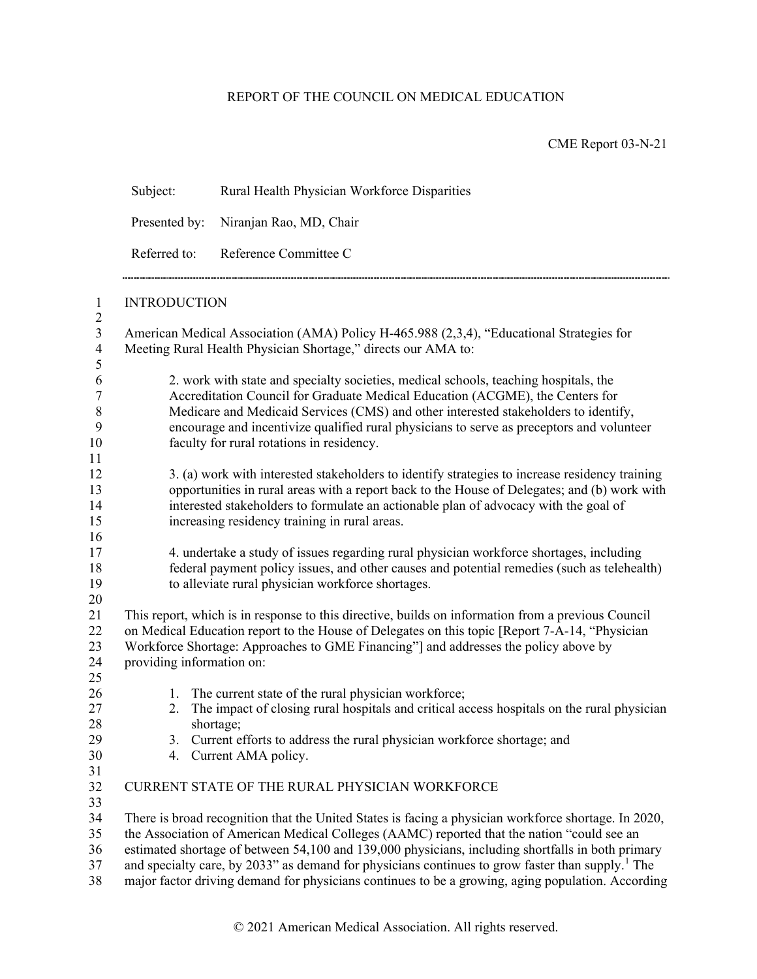## REPORT OF THE COUNCIL ON MEDICAL EDUCATION

CME Report 03-N-21

| Subject:                  | Rural Health Physician Workforce Disparities                                                                                                                                                                                                                                                                                                                                                                                                                                                                                 |  |  |  |
|---------------------------|------------------------------------------------------------------------------------------------------------------------------------------------------------------------------------------------------------------------------------------------------------------------------------------------------------------------------------------------------------------------------------------------------------------------------------------------------------------------------------------------------------------------------|--|--|--|
| Presented by:             | Niranjan Rao, MD, Chair<br>Reference Committee C                                                                                                                                                                                                                                                                                                                                                                                                                                                                             |  |  |  |
| Referred to:              |                                                                                                                                                                                                                                                                                                                                                                                                                                                                                                                              |  |  |  |
| <b>INTRODUCTION</b>       |                                                                                                                                                                                                                                                                                                                                                                                                                                                                                                                              |  |  |  |
|                           | American Medical Association (AMA) Policy H-465.988 (2,3,4), "Educational Strategies for<br>Meeting Rural Health Physician Shortage," directs our AMA to:                                                                                                                                                                                                                                                                                                                                                                    |  |  |  |
|                           | 2. work with state and specialty societies, medical schools, teaching hospitals, the<br>Accreditation Council for Graduate Medical Education (ACGME), the Centers for<br>Medicare and Medicaid Services (CMS) and other interested stakeholders to identify,<br>encourage and incentivize qualified rural physicians to serve as preceptors and volunteer<br>faculty for rural rotations in residency.                                                                                                                       |  |  |  |
|                           | 3. (a) work with interested stakeholders to identify strategies to increase residency training<br>opportunities in rural areas with a report back to the House of Delegates; and (b) work with<br>interested stakeholders to formulate an actionable plan of advocacy with the goal of<br>increasing residency training in rural areas.                                                                                                                                                                                      |  |  |  |
|                           | 4. undertake a study of issues regarding rural physician workforce shortages, including<br>federal payment policy issues, and other causes and potential remedies (such as telehealth)<br>to alleviate rural physician workforce shortages.                                                                                                                                                                                                                                                                                  |  |  |  |
| providing information on: | This report, which is in response to this directive, builds on information from a previous Council<br>on Medical Education report to the House of Delegates on this topic [Report 7-A-14, "Physician<br>Workforce Shortage: Approaches to GME Financing" and addresses the policy above by                                                                                                                                                                                                                                   |  |  |  |
| 1.<br>2.                  | The current state of the rural physician workforce;<br>The impact of closing rural hospitals and critical access hospitals on the rural physician<br>shortage;<br>3. Current efforts to address the rural physician workforce shortage; and                                                                                                                                                                                                                                                                                  |  |  |  |
|                           | 4. Current AMA policy.<br>CURRENT STATE OF THE RURAL PHYSICIAN WORKFORCE                                                                                                                                                                                                                                                                                                                                                                                                                                                     |  |  |  |
|                           | There is broad recognition that the United States is facing a physician workforce shortage. In 2020,<br>the Association of American Medical Colleges (AAMC) reported that the nation "could see an<br>estimated shortage of between 54,100 and 139,000 physicians, including shortfalls in both primary<br>and specialty care, by 2033" as demand for physicians continues to grow faster than supply. <sup>1</sup> The<br>major factor driving demand for physicians continues to be a growing, aging population. According |  |  |  |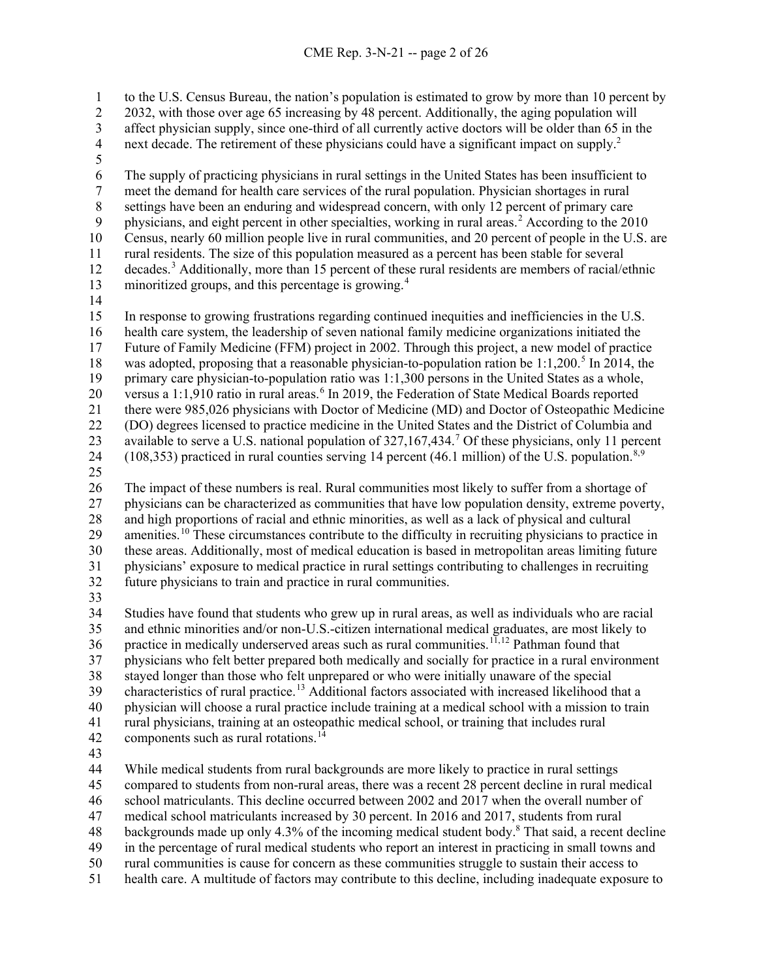to the U.S. Census Bureau, the nation's population is estimated to grow by more than 10 percent by 2032, with those over age 65 increasing by 48 percent. Additionally, the aging population will 3 affect physician supply, since one-third of all currently active doctors will be older than 65 in the next decade. The retirement of these physicians could have a significant impact on supply.<sup>2</sup> next decade. The retirement of these physicians could have a significant impact on supply.<sup>2</sup>

6 The supply of practicing physicians in rural settings in the United States has been insufficient to<br>7 meet the demand for health care services of the rural population. Physician shortages in rural meet the demand for health care services of the rural population. Physician shortages in rural 8 settings have been an enduring and widespread concern, with only 12 percent of primary care<br>9 bysicians, and eight percent in other specialties, working in rural areas.<sup>2</sup> According to the 201 9 physicians, and eight percent in other specialties, working in rural areas.<sup>[2](#page-27-1)</sup> According to the 2010 Census, nearly 60 million people live in rural communities, and 20 percent of people in the U.S. are rural residents. The size of this population measured as a percent has been stable for several 12 decades.<sup>[3](#page-27-2)</sup> Additionally, more than 15 percent of these rural residents are members of racial/ethnic 13 minoritized groups, and this percentage is growing.<sup>[4](#page-27-3)</sup>

 In response to growing frustrations regarding continued inequities and inefficiencies in the U.S. health care system, the leadership of seven national family medicine organizations initiated the Future of Family Medicine (FFM) project in 2002. Through this project, a new model of practice 18 was adopted, proposing that a reasonable physician-to-population ration be 1:1,200.<sup>[5](#page-27-4)</sup> In 2014, the primary care physician-to-population ratio was 1:1,300 persons in the United States as a whole, 20 versus a 1:1,910 ratio in rural areas.<sup>[6](#page-27-5)</sup> In 2019, the Federation of State Medical Boards reported there were 985,026 physicians with Doctor of Medicine (MD) and Doctor of Osteopathic Medicine (DO) degrees licensed to practice medicine in the United States and the District of Columbia and 23 available to serve a U.S. national population of 32[7](#page-27-6),167,434.<sup>7</sup> Of these physicians, only 11 percent (10[8,](#page-27-7)353) practiced in rural counties serving 14 percent (46.1 million) of the U.S. population.<sup>8,[9](#page-27-8)</sup>

 The impact of these numbers is real. Rural communities most likely to suffer from a shortage of physicians can be characterized as communities that have low population density, extreme poverty, and high proportions of racial and ethnic minorities, as well as a lack of physical and cultural 29 amenities.<sup>[10](#page-27-9)</sup> These circumstances contribute to the difficulty in recruiting physicians to practice in these areas. Additionally, most of medical education is based in metropolitan areas limiting future physicians' exposure to medical practice in rural settings contributing to challenges in recruiting future physicians to train and practice in rural communities.

 Studies have found that students who grew up in rural areas, as well as individuals who are racial and ethnic minorities and/or non-U.S.-citizen international medical graduates, are most likely to 36 practice in medically underserved areas such as rural communities.<sup>[11](#page-27-10),[12](#page-27-11)</sup> Pathman found that physicians who felt better prepared both medically and socially for practice in a rural environment stayed longer than those who felt unprepared or who were initially unaware of the special 39 characteristics of rural practice.<sup>[13](#page-27-12)</sup> Additional factors associated with increased likelihood that a physician will choose a rural practice include training at a medical school with a mission to train rural physicians, training at an osteopathic medical school, or training that includes rural 42 components such as rural rotations.

 While medical students from rural backgrounds are more likely to practice in rural settings compared to students from non-rural areas, there was a recent 28 percent decline in rural medical

school matriculants. This decline occurred between 2002 and 2017 when the overall number of

medical school matriculants increased by 30 percent. In 2016 and 2017, students from rural

48 backgrounds made up only 4.3% of the incoming medical student body.<sup>8</sup> That said, a recent decline

in the percentage of rural medical students who report an interest in practicing in small towns and

rural communities is cause for concern as these communities struggle to sustain their access to

health care. A multitude of factors may contribute to this decline, including inadequate exposure to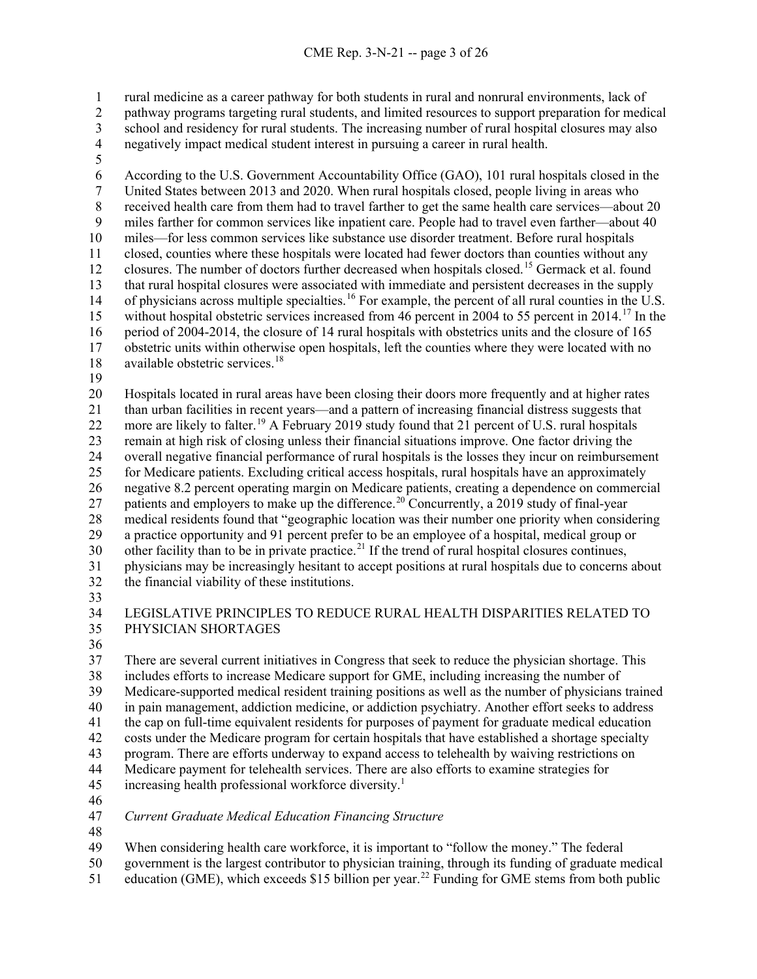rural medicine as a career pathway for both students in rural and nonrural environments, lack of pathway programs targeting rural students, and limited resources to support preparation for medical

3 school and residency for rural students. The increasing number of rural hospital closures may also<br>4 negatively impact medical student interest in pursuing a career in rural health. negatively impact medical student interest in pursuing a career in rural health.

6 According to the U.S. Government Accountability Office (GAO), 101 rural hospitals closed in the<br>7 United States between 2013 and 2020. When rural hospitals closed, people living in areas who United States between 2013 and 2020. When rural hospitals closed, people living in areas who received health care from them had to travel farther to get the same health care services—about 20 miles farther for common services like inpatient care. People had to travel even farther—about 40 miles—for less common services like substance use disorder treatment. Before rural hospitals closed, counties where these hospitals were located had fewer doctors than counties without any 12 closures. The number of doctors further decreased when hospitals closed.<sup>[15](#page-28-1)</sup> Germack et al. found that rural hospital closures were associated with immediate and persistent decreases in the supply 14 of physicians across multiple specialties.<sup>[16](#page-28-2)</sup> For example, the percent of all rural counties in the U.S. 15 without hospital obstetric services increased from 46 percent in 2004 to 55 percent in 2014.<sup>[17](#page-28-3)</sup> In the period of 2004-2014, the closure of 14 rural hospitals with obstetrics units and the closure of 165 obstetric units within otherwise open hospitals, left the counties where they were located with no available obstetric services.<sup>18</sup>

 Hospitals located in rural areas have been closing their doors more frequently and at higher rates than urban facilities in recent years—and a pattern of increasing financial distress suggests that 22 more are likely to falter.<sup>[19](#page-28-5)</sup> A February 2019 study found that 21 percent of U.S. rural hospitals remain at high risk of closing unless their financial situations improve. One factor driving the overall negative financial performance of rural hospitals is the losses they incur on reimbursement for Medicare patients. Excluding critical access hospitals, rural hospitals have an approximately negative 8.2 percent operating margin on Medicare patients, creating a dependence on commercial 27 patients and employers to make up the difference.<sup>[20](#page-28-6)</sup> Concurrently, a 2019 study of final-year medical residents found that "geographic location was their number one priority when considering a practice opportunity and 91 percent prefer to be an employee of a hospital, medical group or other facility than to be in private practice.<sup>[21](#page-28-7)</sup> If the trend of rural hospital closures continues, physicians may be increasingly hesitant to accept positions at rural hospitals due to concerns about the financial viability of these institutions.

 LEGISLATIVE PRINCIPLES TO REDUCE RURAL HEALTH DISPARITIES RELATED TO PHYSICIAN SHORTAGES

 There are several current initiatives in Congress that seek to reduce the physician shortage. This includes efforts to increase Medicare support for GME, including increasing the number of Medicare-supported medical resident training positions as well as the number of physicians trained in pain management, addiction medicine, or addiction psychiatry. Another effort seeks to address the cap on full-time equivalent residents for purposes of payment for graduate medical education costs under the Medicare program for certain hospitals that have established a shortage specialty program. There are efforts underway to expand access to telehealth by waiving restrictions on Medicare payment for telehealth services. There are also efforts to examine strategies for 45 increasing health professional workforce diversity.<sup>1</sup>

*Current Graduate Medical Education Financing Structure*

When considering health care workforce, it is important to "follow the money." The federal

government is the largest contributor to physician training, through its funding of graduate medical

51 education (GME), which exceeds \$15 billion per year.<sup>[22](#page-28-8)</sup> Funding for GME stems from both public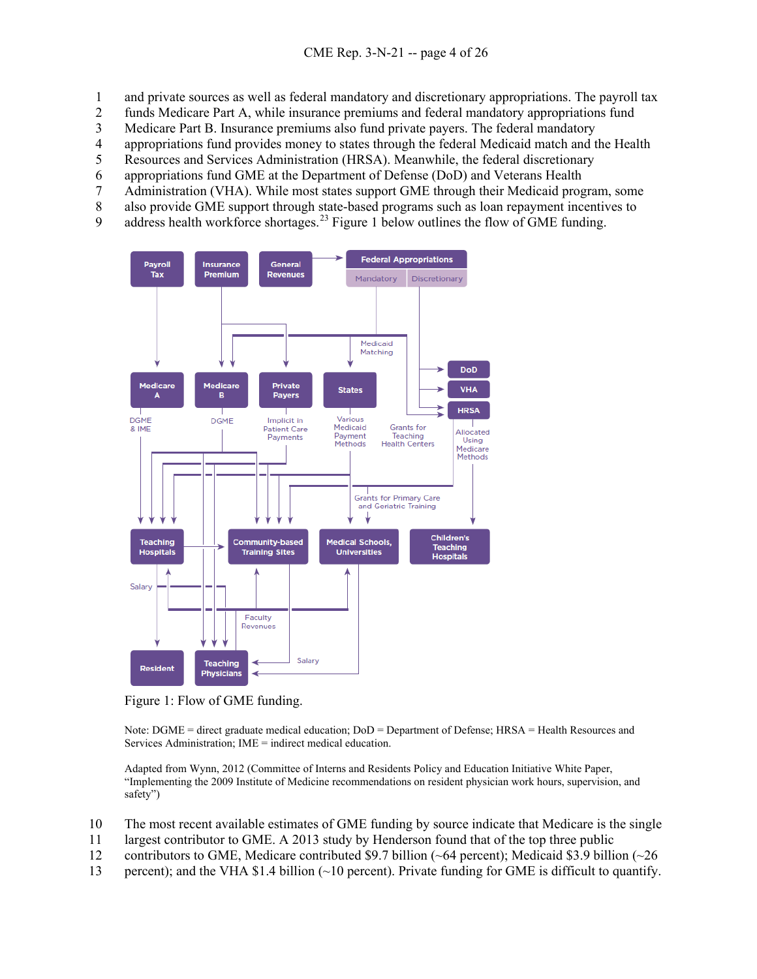- 1 and private sources as well as federal mandatory and discretionary appropriations. The payroll tax
- 2 funds Medicare Part A, while insurance premiums and federal mandatory appropriations fund
- 3 Medicare Part B. Insurance premiums also fund private payers. The federal mandatory
- 4 appropriations fund provides money to states through the federal Medicaid match and the Health<br>5 Resources and Services Administration (HRSA). Meanwhile, the federal discretionary
- 5 Resources and Services Administration (HRSA). Meanwhile, the federal discretionary
- 6 appropriations fund GME at the Department of Defense (DoD) and Veterans Health
- 7 Administration (VHA). While most states support GME through their Medicaid program, some
- 8 also provide GME support through state-based programs such as loan repayment incentives to
- 9 address health workforce shortages.<sup>[23](#page-28-9)</sup> Figure 1 below outlines the flow of GME funding.



Figure 1: Flow of GME funding.

Note: DGME = direct graduate medical education; DoD = Department of Defense; HRSA = Health Resources and Services Administration; IME = indirect medical education.

Adapted from Wynn, 2012 (Committee of Interns and Residents Policy and Education Initiative White Paper, "Implementing the 2009 Institute of Medicine recommendations on resident physician work hours, supervision, and safety")

- 10 The most recent available estimates of GME funding by source indicate that Medicare is the single
- 11 largest contributor to GME. A 2013 study by Henderson found that of the top three public
- 12 contributors to GME, Medicare contributed \$9.7 billion (~64 percent); Medicaid \$3.9 billion (~26
- 13 percent); and the VHA \$1.4 billion (~10 percent). Private funding for GME is difficult to quantify.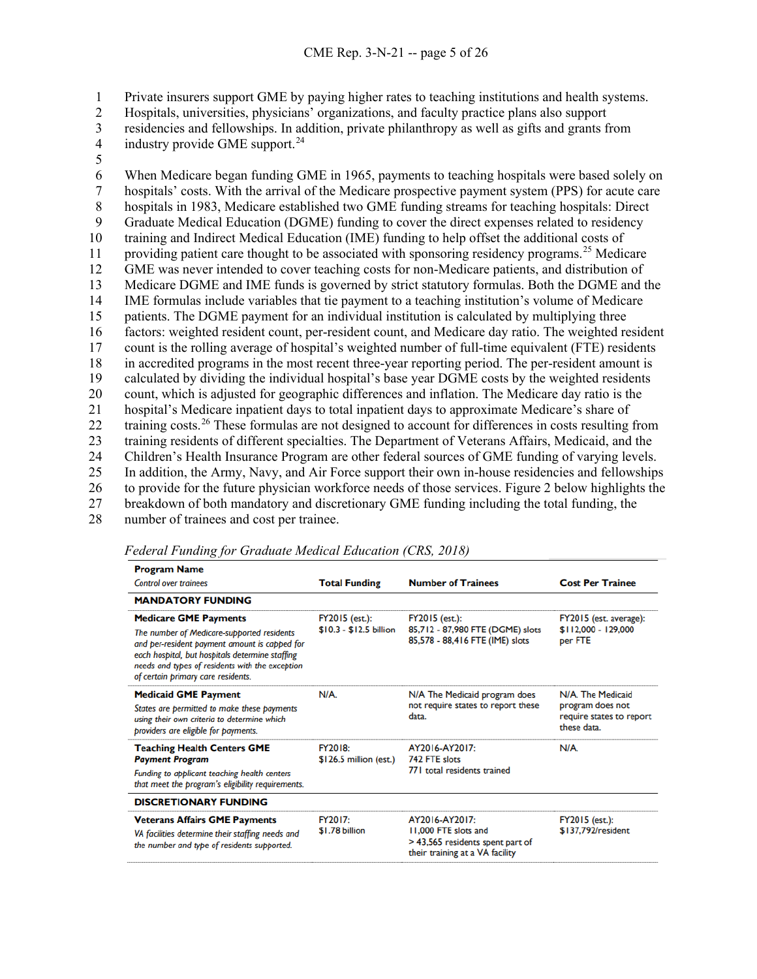1 Private insurers support GME by paying higher rates to teaching institutions and health systems.

2 Hospitals, universities, physicians' organizations, and faculty practice plans also support

3 residencies and fellowships. In addition, private philanthropy as well as gifts and grants from<br>4 industry provide GME support.<sup>24</sup>

4 industry provide GME support.<sup>[24](#page-28-10)</sup>

5

6 When Medicare began funding GME in 1965, payments to teaching hospitals were based solely on hospitals' costs. With the arrival of the Medicare prospective payment system (PPS) for acute care hospitals' costs. With the arrival of the Medicare prospective payment system (PPS) for acute care 8 hospitals in 1983, Medicare established two GME funding streams for teaching hospitals: Direct 9 Graduate Medical Education (DGME) funding to cover the direct expenses related to residency training and Indirect Medical Education (IME) funding to help offset the additional costs of 11 providing patient care thought to be associated with sponsoring residency programs.<sup>[25](#page-28-11)</sup> Medicare GME was never intended to cover teaching costs for non-Medicare patients, and distribution of Medicare DGME and IME funds is governed by strict statutory formulas. Both the DGME and the IME formulas include variables that tie payment to a teaching institution's volume of Medicare patients. The DGME payment for an individual institution is calculated by multiplying three factors: weighted resident count, per-resident count, and Medicare day ratio. The weighted resident count is the rolling average of hospital's weighted number of full-time equivalent (FTE) residents in accredited programs in the most recent three-year reporting period. The per-resident amount is calculated by dividing the individual hospital's base year DGME costs by the weighted residents count, which is adjusted for geographic differences and inflation. The Medicare day ratio is the hospital's Medicare inpatient days to total inpatient days to approximate Medicare's share of 22 training costs.<sup>[26](#page-28-12)</sup> These formulas are not designed to account for differences in costs resulting from training residents of different specialties. The Department of Veterans Affairs, Medicaid, and the Children's Health Insurance Program are other federal sources of GME funding of varying levels. In addition, the Army, Navy, and Air Force support their own in-house residencies and fellowships to provide for the future physician workforce needs of those services. Figure 2 below highlights the breakdown of both mandatory and discretionary GME funding including the total funding, the number of trainees and cost per trainee.

| <b>Program Name</b>                                                                                                                                                                                                                     |                                           |                                                                                                               |                                                                                  |  |
|-----------------------------------------------------------------------------------------------------------------------------------------------------------------------------------------------------------------------------------------|-------------------------------------------|---------------------------------------------------------------------------------------------------------------|----------------------------------------------------------------------------------|--|
| <b>Control over trainees</b>                                                                                                                                                                                                            | <b>Total Funding</b>                      | <b>Number of Trainees</b>                                                                                     | <b>Cost Per Trainee</b>                                                          |  |
| <b>MANDATORY FUNDING</b>                                                                                                                                                                                                                |                                           |                                                                                                               |                                                                                  |  |
| <b>Medicare GME Payments</b>                                                                                                                                                                                                            | FY2015 (est.):<br>$$10.3 - $12.5$ billion | <b>FY2015</b> (est.):<br>85,712 - 87,980 FTE (DGME) slots<br>85,578 - 88,416 FTE (IME) slots                  | FY2015 (est. average):                                                           |  |
| The number of Medicare-supported residents<br>and per-resident payment amount is capped for<br>each hospital, but hospitals determine staffing<br>needs and types of residents with the exception<br>of certain primary care residents. |                                           |                                                                                                               | \$112,000 - 129,000<br>per FTE                                                   |  |
| <b>Medicaid GME Payment</b>                                                                                                                                                                                                             | $N/A$ .                                   | N/A The Medicaid program does<br>not require states to report these<br>data.                                  | N/A. The Medicaid<br>program does not<br>require states to report<br>these data. |  |
| States are permitted to make these payments<br>using their own criteria to determine which<br>providers are eligible for payments.                                                                                                      |                                           |                                                                                                               |                                                                                  |  |
| <b>Teaching Health Centers GME</b><br><b>Payment Program</b>                                                                                                                                                                            | FY2018:<br>$$126.5$ million (est.)        | AY2016-AY2017:<br>742 FTE slots<br>771 total residents trained                                                | N/A.                                                                             |  |
| Funding to applicant teaching health centers<br>that meet the program's eligibility requirements.                                                                                                                                       |                                           |                                                                                                               |                                                                                  |  |
| <b>DISCRETIONARY FUNDING</b>                                                                                                                                                                                                            |                                           |                                                                                                               |                                                                                  |  |
| <b>Veterans Affairs GME Payments</b>                                                                                                                                                                                                    | FY2017:<br>\$1.78 billion                 | AY2016-AY2017:<br>11,000 FTE slots and<br>> 43,565 residents spent part of<br>their training at a VA facility | FY2015 (est.):                                                                   |  |
| VA facilities determine their staffing needs and<br>the number and type of residents supported.                                                                                                                                         |                                           |                                                                                                               | \$137,792/resident                                                               |  |

*Federal Funding for Graduate Medical Education (CRS, 2018)*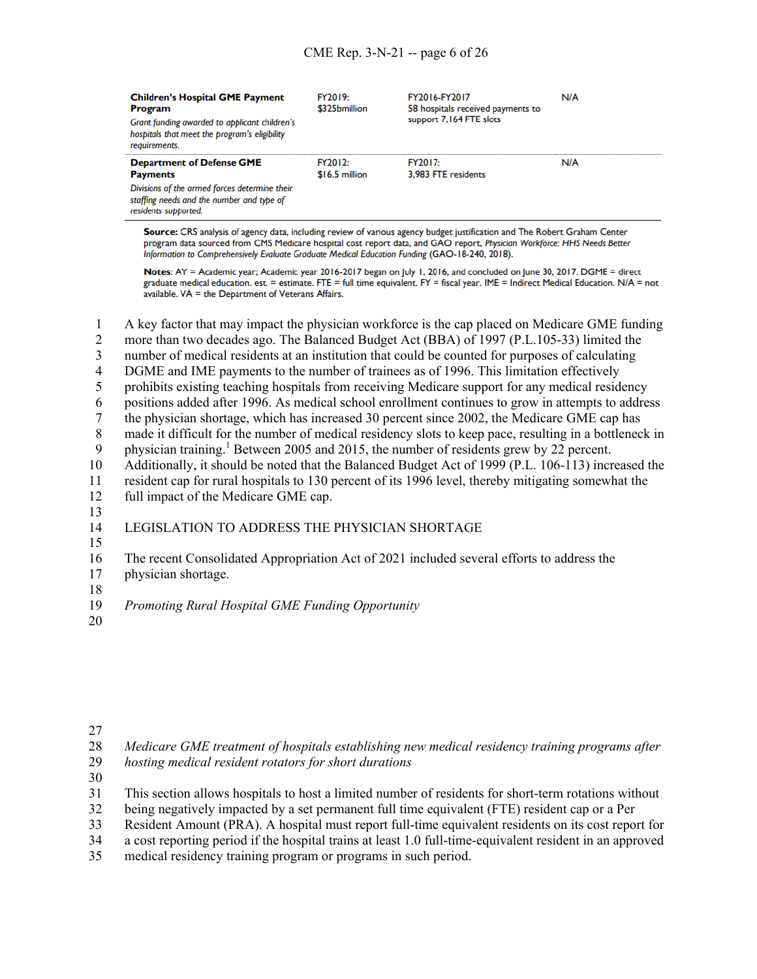| <b>Children's Hospital GME Payment</b><br><b>Program</b><br>Grant funding awarded to applicant children's<br>hospitals that meet the program's eligibility<br>requirements. | FY2019:<br>\$325bmillion   | FY2016-FY2017<br>58 hospitals received payments to<br>support 7,164 FTE slots | N/A |
|-----------------------------------------------------------------------------------------------------------------------------------------------------------------------------|----------------------------|-------------------------------------------------------------------------------|-----|
| <b>Department of Defense GME</b><br><b>Payments</b>                                                                                                                         | FY2012·<br>$$16.5$ million | FY2017:<br>3.983 FTE residents                                                | N/A |
| Divisions of the armed forces determine their<br>staffing needs and the number and type of<br>residents supported.                                                          |                            |                                                                               |     |

Source: CRS analysis of agency data, including review of various agency budget justification and The Robert Graham Center program data sourced from CMS Medicare hospital cost report data, and GAO report, Physician Workforce: HHS Needs Better Information to Comprehensively Evaluate Graduate Medical Education Funding (GAO-18-240, 2018).

Notes: AY = Academic year; Academic year 2016-2017 began on July 1, 2016, and concluded on June 30, 2017. DGME = direct graduate medical education. est. = estimate. FTE = full time equivalent. FY = fiscal year. IME = Indirect Medical Education. N/A = not  $a$ vailable. VA = the Department of Veterans Affairs.

1 A key factor that may impact the physician workforce is the cap placed on Medicare GME funding

2 more than two decades ago. The Balanced Budget Act (BBA) of 1997 (P.L.105-33) limited the

3 number of medical residents at an institution that could be counted for purposes of calculating

4 DGME and IME payments to the number of trainees as of 1996. This limitation effectively

5 prohibits existing teaching hospitals from receiving Medicare support for any medical residency

6 positions added after 1996. As medical school enrollment continues to grow in attempts to address

7 the physician shortage, which has increased 30 percent since 2002, the Medicare GME cap has

8 made it difficult for the number of medical residency slots to keep pace, resulting in a bottleneck in

9 physician training.<sup>1</sup> Between 2005 and 2015, the number of residents grew by 22 percent.

10 Additionally, it should be noted that the Balanced Budget Act of 1999 (P.L. 106-113) increased the

11 resident cap for rural hospitals to 130 percent of its 1996 level, thereby mitigating somewhat the

- 12 full impact of the Medicare GME cap.
- 13

## 14 LEGISLATION TO ADDRESS THE PHYSICIAN SHORTAGE

15

16 The recent Consolidated Appropriation Act of 2021 included several efforts to address the

17 physician shortage.

18

- 20
- 27

28 *Medicare GME treatment of hospitals establishing new medical residency training programs after* 

- 29 *hosting medical resident rotators for short durations*
- 30

31 This section allows hospitals to host a limited number of residents for short-term rotations without

32 being negatively impacted by a set permanent full time equivalent (FTE) resident cap or a Per

33 Resident Amount (PRA). A hospital must report full-time equivalent residents on its cost report for

34 a cost reporting period if the hospital trains at least 1.0 full-time-equivalent resident in an approved

35 medical residency training program or programs in such period.

<sup>19</sup> *Promoting Rural Hospital GME Funding Opportunity*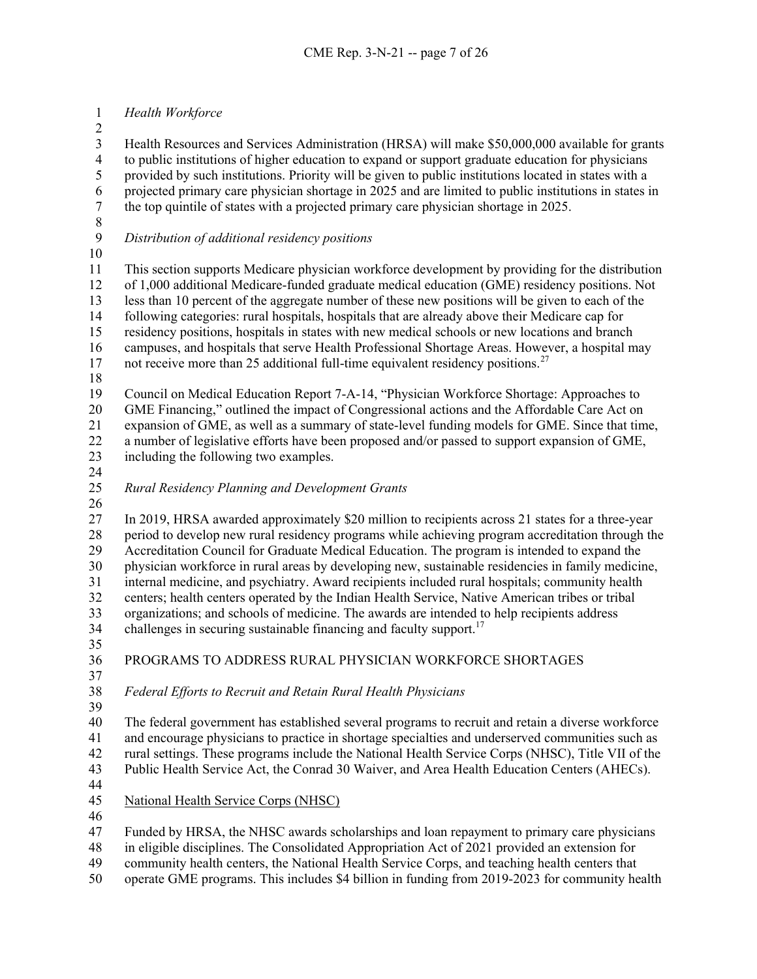## *Health Workforce*

 $\frac{2}{3}$ 

3 Health Resources and Services Administration (HRSA) will make \$50,000,000 available for grants<br>4 to public institutions of higher education to expand or support graduate education for physicians to public institutions of higher education to expand or support graduate education for physicians 5 provided by such institutions. Priority will be given to public institutions located in states with a projected primary care physician shortage in 2025 and are limited to public institutions in states in projected primary care physician shortage in 2025 and are limited to public institutions in states in the top quintile of states with a projected primary care physician shortage in 2025.

- 8<br>9
	- *Distribution of additional residency positions*
- 

 This section supports Medicare physician workforce development by providing for the distribution of 1,000 additional Medicare-funded graduate medical education (GME) residency positions. Not less than 10 percent of the aggregate number of these new positions will be given to each of the following categories: rural hospitals, hospitals that are already above their Medicare cap for residency positions, hospitals in states with new medical schools or new locations and branch campuses, and hospitals that serve Health Professional Shortage Areas. However, a hospital may

- 17 not receive more than 25 additional full-time equivalent residency positions.<sup>[27](#page-29-0)</sup>
- 

 Council on Medical Education Report 7-A-14, "Physician Workforce Shortage: Approaches to GME Financing," outlined the impact of Congressional actions and the Affordable Care Act on expansion of GME, as well as a summary of state-level funding models for GME. Since that time, a number of legislative efforts have been proposed and/or passed to support expansion of GME, including the following two examples.

- 
- *Rural Residency Planning and Development Grants*
- 

 In 2019, HRSA awarded approximately \$20 million to recipients across 21 states for a three-year 28 period to develop new rural residency programs while achieving program accreditation through the<br>29 Accreditation Council for Graduate Medical Education. The program is intended to expand the Accreditation Council for Graduate Medical Education. The program is intended to expand the physician workforce in rural areas by developing new, sustainable residencies in family medicine, internal medicine, and psychiatry. Award recipients included rural hospitals; community health centers; health centers operated by the Indian Health Service, Native American tribes or tribal organizations; and schools of medicine. The awards are intended to help recipients address 34 challenges in securing sustainable financing and faculty support.<sup>17</sup>

## PROGRAMS TO ADDRESS RURAL PHYSICIAN WORKFORCE SHORTAGES

#### *Federal Efforts to Recruit and Retain Rural Health Physicians*

 The federal government has established several programs to recruit and retain a diverse workforce and encourage physicians to practice in shortage specialties and underserved communities such as rural settings. These programs include the National Health Service Corps (NHSC), Title VII of the Public Health Service Act, the Conrad 30 Waiver, and Area Health Education Centers (AHECs).

- 
- National Health Service Corps (NHSC)
- 

Funded by HRSA, the NHSC awards scholarships and loan repayment to primary care physicians

in eligible disciplines. The Consolidated Appropriation Act of 2021 provided an extension for

community health centers, the National Health Service Corps, and teaching health centers that

operate GME programs. This includes \$4 billion in funding from 2019-2023 for community health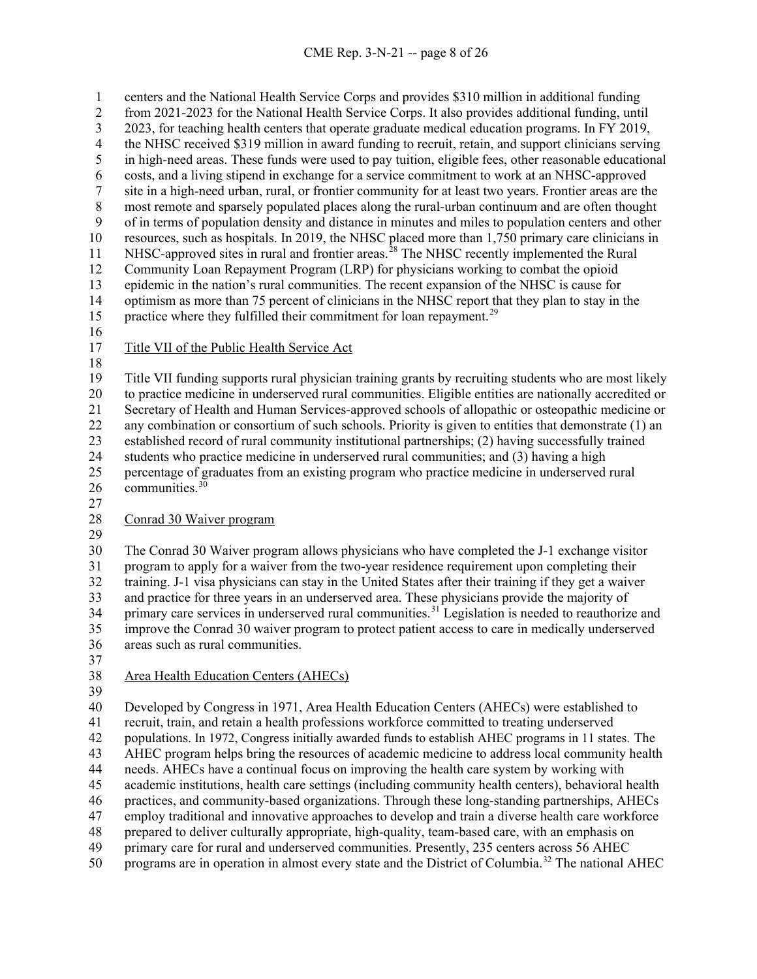centers and the National Health Service Corps and provides \$310 million in additional funding from 2021-2023 for the National Health Service Corps. It also provides additional funding, until 2023, for teaching health centers that operate graduate medical education programs. In FY 2019,<br>4 the NHSC received \$319 million in award funding to recruit, retain, and support clinicians servin 4 the NHSC received \$319 million in award funding to recruit, retain, and support clinicians serving<br>5 in high-need areas. These funds were used to pay tuition, eligible fees, other reasonable educational in high-need areas. These funds were used to pay tuition, eligible fees, other reasonable educational 6 costs, and a living stipend in exchange for a service commitment to work at an NHSC-approved<br>
<sup>7</sup> site in a high-need urban, rural, or frontier community for at least two years. Frontier areas are th site in a high-need urban, rural, or frontier community for at least two years. Frontier areas are the most remote and sparsely populated places along the rural-urban continuum and are often thought of in terms of population density and distance in minutes and miles to population centers and other resources, such as hospitals. In 2019, the NHSC placed more than 1,750 primary care clinicians in 11 NHSC-approved sites in rural and frontier areas.<sup>[28](#page-29-1)</sup> The NHSC recently implemented the Rural Community Loan Repayment Program (LRP) for physicians working to combat the opioid epidemic in the nation's rural communities. The recent expansion of the NHSC is cause for optimism as more than 75 percent of clinicians in the NHSC report that they plan to stay in the 15 practice where they fulfilled their commitment for loan repayment.<sup>[29](#page-29-2)</sup> 

- 
- Title VII of the Public Health Service Act
- 

 Title VII funding supports rural physician training grants by recruiting students who are most likely to practice medicine in underserved rural communities. Eligible entities are nationally accredited or Secretary of Health and Human Services-approved schools of allopathic or osteopathic medicine or any combination or consortium of such schools. Priority is given to entities that demonstrate (1) an established record of rural community institutional partnerships; (2) having successfully trained students who practice medicine in underserved rural communities; and (3) having a high percentage of graduates from an existing program who practice medicine in underserved rural communities.<sup>[30](#page-29-3)</sup>

### Conrad 30 Waiver program

 The Conrad 30 Waiver program allows physicians who have completed the J-1 exchange visitor program to apply for a waiver from the two-year residence requirement upon completing their training. J-1 visa physicians can stay in the United States after their training if they get a waiver and practice for three years in an underserved area. These physicians provide the majority of 34 primary care services in underserved rural communities.<sup>[31](#page-29-4)</sup> Legislation is needed to reauthorize and improve the Conrad 30 waiver program to protect patient access to care in medically underserved areas such as rural communities.

## Area Health Education Centers (AHECs)

 Developed by Congress in 1971, Area Health Education Centers (AHECs) were established to recruit, train, and retain a health professions workforce committed to treating underserved populations. In 1972, Congress initially awarded funds to establish AHEC programs in 11 states. The AHEC program helps bring the resources of academic medicine to address local community health needs. AHECs have a continual focus on improving the health care system by working with academic institutions, health care settings (including community health centers), behavioral health practices, and community-based organizations. Through these long-standing partnerships, AHECs employ traditional and innovative approaches to develop and train a diverse health care workforce prepared to deliver culturally appropriate, high-quality, team-based care, with an emphasis on primary care for rural and underserved communities. Presently, 235 centers across 56 AHEC 50 programs are in operation in almost every state and the District of Columbia.<sup>[32](#page-29-5)</sup> The national AHEC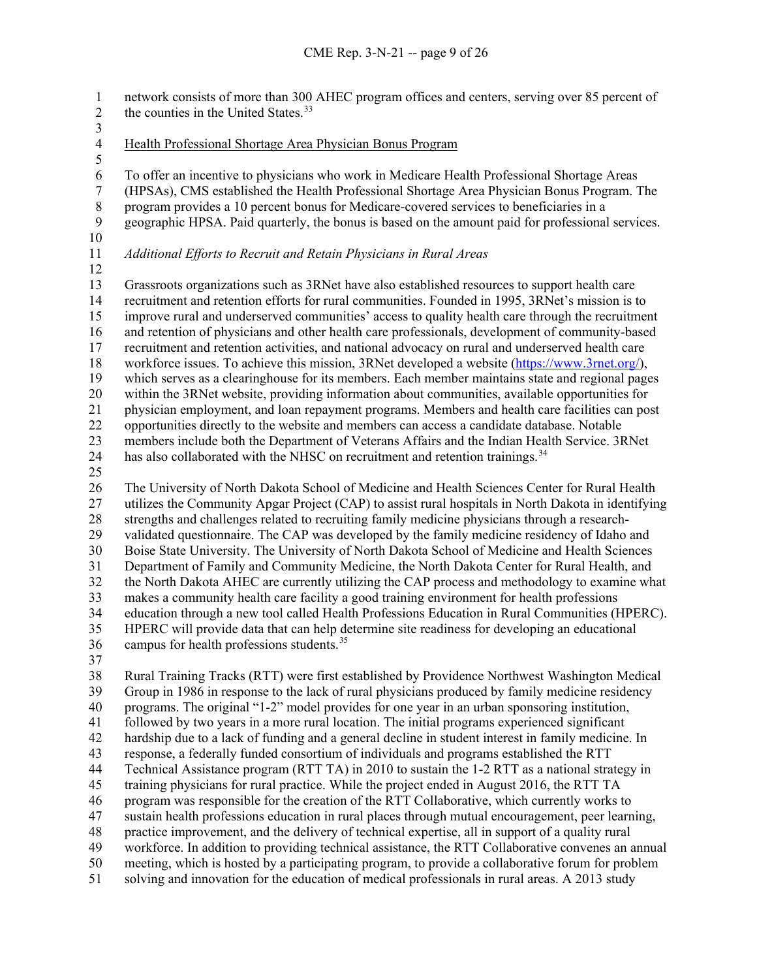network consists of more than 300 AHEC program offices and centers, serving over 85 percent of 2 the counties in the United States.<sup>[33](#page-29-6)</sup>

 $\frac{3}{4}$ 

Health Professional Shortage Area Physician Bonus Program

 To offer an incentive to physicians who work in Medicare Health Professional Shortage Areas (HPSAs), CMS established the Health Professional Shortage Area Physician Bonus Program. The 8 program provides a 10 percent bonus for Medicare-covered services to beneficiaries in a<br>9 geographic HPSA. Paid quarterly, the bonus is based on the amount paid for professional

- geographic HPSA. Paid quarterly, the bonus is based on the amount paid for professional services.
- 

# *Additional Efforts to Recruit and Retain Physicians in Rural Areas*

 Grassroots organizations such as 3RNet have also established resources to support health care recruitment and retention efforts for rural communities. Founded in 1995, 3RNet's mission is to improve rural and underserved communities' access to quality health care through the recruitment and retention of physicians and other health care professionals, development of community-based recruitment and retention activities, and national advocacy on rural and underserved health care workforce issues. To achieve this mission, 3RNet developed a website [\(https://www.3rnet.org/\)](about:blank), which serves as a clearinghouse for its members. Each member maintains state and regional pages within the 3RNet website, providing information about communities, available opportunities for physician employment, and loan repayment programs. Members and health care facilities can post opportunities directly to the website and members can access a candidate database. Notable members include both the Department of Veterans Affairs and the Indian Health Service. 3RNet 24 has also collaborated with the NHSC on recruitment and retention trainings.<sup>[34](#page-29-7)</sup> The University of North Dakota School of Medicine and Health Sciences Center for Rural Health

 utilizes the Community Apgar Project (CAP) to assist rural hospitals in North Dakota in identifying strengths and challenges related to recruiting family medicine physicians through a research- validated questionnaire. The CAP was developed by the family medicine residency of Idaho and Boise State University. The University of North Dakota School of Medicine and Health Sciences Department of Family and Community Medicine, the North Dakota Center for Rural Health, and the North Dakota AHEC are currently utilizing the CAP process and methodology to examine what makes a community health care facility a good training environment for health professions education through a new tool called Health Professions Education in Rural Communities (HPERC). HPERC will provide data that can help determine site readiness for developing an educational 36 campus for health professions students.<sup>[35](#page-29-8)</sup>

 Rural Training Tracks (RTT) were first established by Providence Northwest Washington Medical Group in 1986 in response to the lack of rural physicians produced by family medicine residency programs. The original "1-2" model provides for one year in an urban sponsoring institution, followed by two years in a more rural location. The initial programs experienced significant hardship due to a lack of funding and a general decline in student interest in family medicine. In response, a federally funded consortium of individuals and programs established the RTT Technical Assistance program (RTT TA) in 2010 to sustain the 1-2 RTT as a national strategy in training physicians for rural practice. While the project ended in August 2016, the RTT TA program was responsible for the creation of the RTT Collaborative, which currently works to sustain health professions education in rural places through mutual encouragement, peer learning, practice improvement, and the delivery of technical expertise, all in support of a quality rural workforce. In addition to providing technical assistance, the RTT Collaborative convenes an annual meeting, which is hosted by a participating program, to provide a collaborative forum for problem solving and innovation for the education of medical professionals in rural areas. A 2013 study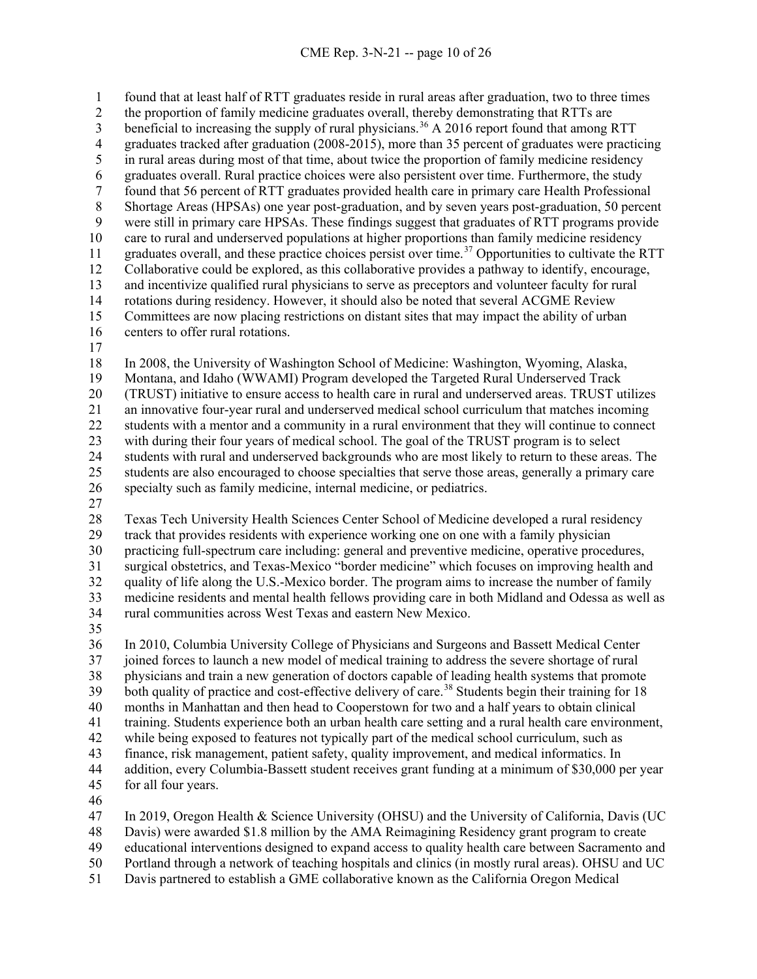found that at least half of RTT graduates reside in rural areas after graduation, two to three times the proportion of family medicine graduates overall, thereby demonstrating that RTTs are 3 beneficial to increasing the supply of rural physicians.<sup>[36](#page-29-9)</sup> A 2016 report found that among RTT 4 graduates tracked after graduation (2008-2015), more than 35 percent of graduates were practicing<br>5 in rural areas during most of that time, about twice the proportion of family medicine residency in rural areas during most of that time, about twice the proportion of family medicine residency 6 graduates overall. Rural practice choices were also persistent over time. Furthermore, the study<br>6 found that 56 percent of RTT graduates provided health care in primary care Health Professiona found that 56 percent of RTT graduates provided health care in primary care Health Professional Shortage Areas (HPSAs) one year post-graduation, and by seven years post-graduation, 50 percent were still in primary care HPSAs. These findings suggest that graduates of RTT programs provide care to rural and underserved populations at higher proportions than family medicine residency 11 graduates overall, and these practice choices persist over time.<sup>[37](#page-29-10)</sup> Opportunities to cultivate the RTT Collaborative could be explored, as this collaborative provides a pathway to identify, encourage, and incentivize qualified rural physicians to serve as preceptors and volunteer faculty for rural rotations during residency. However, it should also be noted that several ACGME Review Committees are now placing restrictions on distant sites that may impact the ability of urban centers to offer rural rotations. 

 In 2008, the University of Washington School of Medicine: Washington, Wyoming, Alaska, Montana, and Idaho (WWAMI) Program developed the Targeted Rural Underserved Track (TRUST) initiative to ensure access to health care in rural and underserved areas. TRUST utilizes

 an innovative four-year rural and underserved medical school curriculum that matches incoming students with a mentor and a community in a rural environment that they will continue to connect with during their four years of medical school. The goal of the TRUST program is to select students with rural and underserved backgrounds who are most likely to return to these areas. The

 students are also encouraged to choose specialties that serve those areas, generally a primary care specialty such as family medicine, internal medicine, or pediatrics.

 Texas Tech University Health Sciences Center School of Medicine developed a rural residency track that provides residents with experience working one on one with a family physician practicing full-spectrum care including: general and preventive medicine, operative procedures, surgical obstetrics, and Texas-Mexico "border medicine" which focuses on improving health and quality of life along the U.S.-Mexico border. The program aims to increase the number of family medicine residents and mental health fellows providing care in both Midland and Odessa as well as rural communities across West Texas and eastern New Mexico.

 In 2010, Columbia University College of Physicians and Surgeons and Bassett Medical Center joined forces to launch a new model of medical training to address the severe shortage of rural physicians and train a new generation of doctors capable of leading health systems that promote 39 both quality of practice and cost-effective delivery of care.<sup>[38](#page-29-11)</sup> Students begin their training for 18 months in Manhattan and then head to Cooperstown for two and a half years to obtain clinical training. Students experience both an urban health care setting and a rural health care environment, while being exposed to features not typically part of the medical school curriculum, such as finance, risk management, patient safety, quality improvement, and medical informatics. In addition, every Columbia-Bassett student receives grant funding at a minimum of \$30,000 per year for all four years.

In 2019, Oregon Health & Science University (OHSU) and the University of California, Davis (UC

- Davis) were awarded \$1.8 million by the AMA Reimagining Residency grant program to create
- educational interventions designed to expand access to quality health care between Sacramento and
- Portland through a network of teaching hospitals and clinics (in mostly rural areas). OHSU and UC
- Davis partnered to establish a GME collaborative known as the California Oregon Medical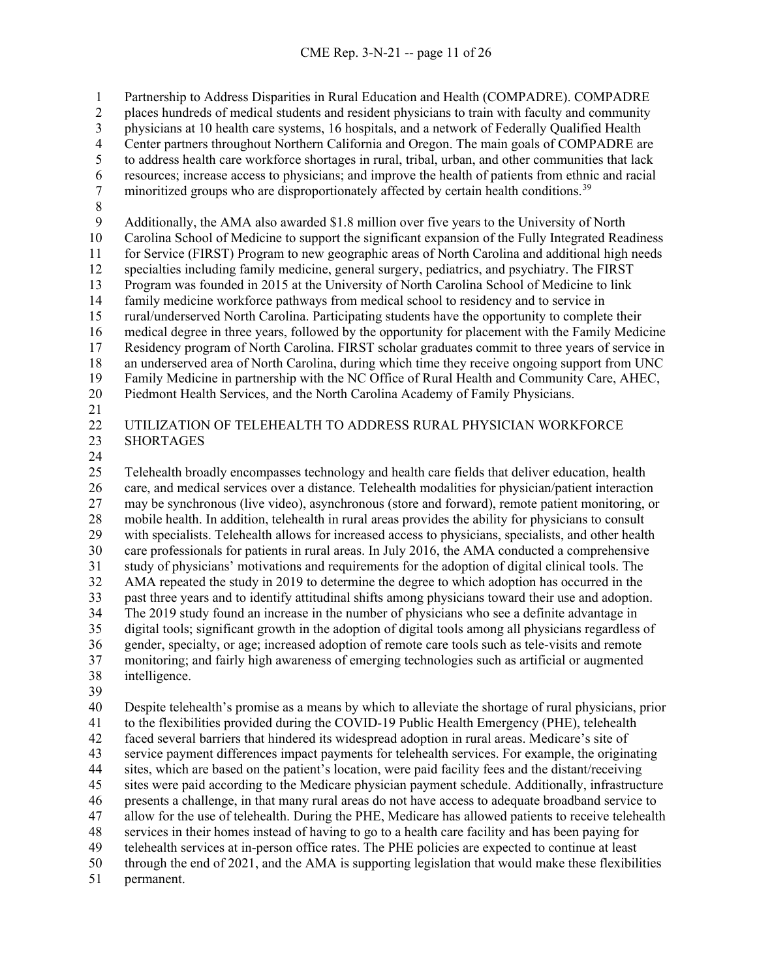Partnership to Address Disparities in Rural Education and Health (COMPADRE). COMPADRE

places hundreds of medical students and resident physicians to train with faculty and community

3 physicians at 10 health care systems, 16 hospitals, and a network of Federally Qualified Health<br>4 Center partners throughout Northern California and Oregon. The main goals of COMPADRE are

4 Center partners throughout Northern California and Oregon. The main goals of COMPADRE are<br>5 to address health care workforce shortages in rural, tribal, urban, and other communities that lack

to address health care workforce shortages in rural, tribal, urban, and other communities that lack

6 resources; increase access to physicians; and improve the health of patients from ethnic and racial<br>7 minoritized groups who are disproportionately affected by certain health conditions.<sup>39</sup> 7 minoritized groups who are disproportionately affected by certain health conditions.<sup>[39](#page-29-12)</sup>

8<br>9

Additionally, the AMA also awarded \$1.8 million over five years to the University of North

Carolina School of Medicine to support the significant expansion of the Fully Integrated Readiness

for Service (FIRST) Program to new geographic areas of North Carolina and additional high needs

specialties including family medicine, general surgery, pediatrics, and psychiatry. The FIRST

 Program was founded in 2015 at the University of North Carolina School of Medicine to link family medicine workforce pathways from medical school to residency and to service in

rural/underserved North Carolina. Participating students have the opportunity to complete their

medical degree in three years, followed by the opportunity for placement with the Family Medicine

Residency program of North Carolina. FIRST scholar graduates commit to three years of service in

an underserved area of North Carolina, during which time they receive ongoing support from UNC

Family Medicine in partnership with the NC Office of Rural Health and Community Care, AHEC,

Piedmont Health Services, and the North Carolina Academy of Family Physicians.

# UTILIZATION OF TELEHEALTH TO ADDRESS RURAL PHYSICIAN WORKFORCE SHORTAGES

 Telehealth broadly encompasses technology and health care fields that deliver education, health care, and medical services over a distance. Telehealth modalities for physician/patient interaction may be synchronous (live video), asynchronous (store and forward), remote patient monitoring, or mobile health. In addition, telehealth in rural areas provides the ability for physicians to consult with specialists. Telehealth allows for increased access to physicians, specialists, and other health care professionals for patients in rural areas. In July 2016, the AMA conducted a comprehensive study of physicians' motivations and requirements for the adoption of digital clinical tools. The AMA repeated the study in 2019 to determine the degree to which adoption has occurred in the past three years and to identify attitudinal shifts among physicians toward their use and adoption. The 2019 study found an increase in the number of physicians who see a definite advantage in digital tools; significant growth in the adoption of digital tools among all physicians regardless of gender, specialty, or age; increased adoption of remote care tools such as tele-visits and remote monitoring; and fairly high awareness of emerging technologies such as artificial or augmented intelligence.

 Despite telehealth's promise as a means by which to alleviate the shortage of rural physicians, prior to the flexibilities provided during the COVID-19 Public Health Emergency (PHE), telehealth faced several barriers that hindered its widespread adoption in rural areas. Medicare's site of service payment differences impact payments for telehealth services. For example, the originating sites, which are based on the patient's location, were paid facility fees and the distant/receiving sites were paid according to the Medicare physician payment schedule. Additionally, infrastructure 46 presents a challenge, in that many rural areas do not have access to adequate broadband service to allow for the use of telehealth. During the PHE, Medicare has allowed patients to receive telehealth allow for the use of telehealth. During the PHE, Medicare has allowed patients to receive telehealth services in their homes instead of having to go to a health care facility and has been paying for telehealth services at in-person office rates. The PHE policies are expected to continue at least through the end of 2021, and the AMA is supporting legislation that would make these flexibilities permanent.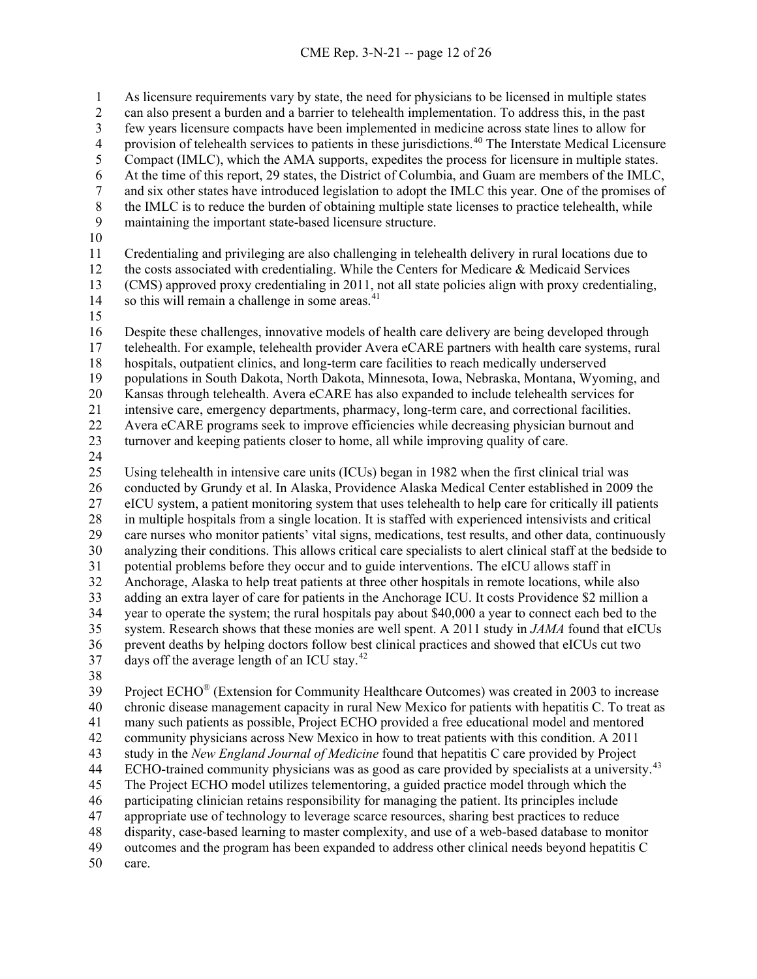As licensure requirements vary by state, the need for physicians to be licensed in multiple states can also present a burden and a barrier to telehealth implementation. To address this, in the past 3 few years licensure compacts have been implemented in medicine across state lines to allow for<br>4 provision of telehealth services to patients in these jurisdictions.<sup>40</sup> The Interstate Medical Licensi 4 provision of telehealth services to patients in these jurisdictions.<sup>[40](#page-29-13)</sup> The Interstate Medical Licensure Compact (IMLC), which the AMA supports, expedites the process for licensure in multiple states. 6 At the time of this report, 29 states, the District of Columbia, and Guam are members of the IMLC,<br>7 and six other states have introduced legislation to adopt the IMLC this year. One of the promises of and six other states have introduced legislation to adopt the IMLC this year. One of the promises of 8 the IMLC is to reduce the burden of obtaining multiple state licenses to practice telehealth, while<br>9 maintaining the important state-based licensure structure. maintaining the important state-based licensure structure.

 Credentialing and privileging are also challenging in telehealth delivery in rural locations due to the costs associated with credentialing. While the Centers for Medicare & Medicaid Services (CMS) approved proxy credentialing in 2011, not all state policies align with proxy credentialing, 14 so this will remain a challenge in some areas.<sup>[41](#page-29-14)</sup>

 Despite these challenges, innovative models of health care delivery are being developed through telehealth. For example, telehealth provider Avera eCARE partners with health care systems, rural hospitals, outpatient clinics, and long-term care facilities to reach medically underserved populations in South Dakota, North Dakota, Minnesota, Iowa, Nebraska, Montana, Wyoming, and Kansas through telehealth. Avera eCARE has also expanded to include telehealth services for intensive care, emergency departments, pharmacy, long-term care, and correctional facilities. Avera eCARE programs seek to improve efficiencies while decreasing physician burnout and

turnover and keeping patients closer to home, all while improving quality of care.

 Using telehealth in intensive care units (ICUs) began in 1982 when the first clinical trial was conducted by Grundy et al. In Alaska, Providence Alaska Medical Center established in 2009 the eICU system, a patient monitoring system that uses telehealth to help care for critically ill patients in multiple hospitals from a single location. It is staffed with experienced intensivists and critical care nurses who monitor patients' vital signs, medications, test results, and other data, continuously analyzing their conditions. This allows critical care specialists to alert clinical staff at the bedside to potential problems before they occur and to guide interventions. The eICU allows staff in Anchorage, Alaska to help treat patients at three other hospitals in remote locations, while also adding an extra layer of care for patients in the Anchorage ICU. It costs Providence \$2 million a year to operate the system; the rural hospitals pay about \$40,000 a year to connect each bed to the system. Research shows that these monies are well spent. A 2011 study in *JAMA* found that eICUs prevent deaths by helping doctors follow best clinical practices and showed that eICUs cut two 37 days off the average length of an ICU stay.

Project ECHO® (Extension for Community Healthcare Outcomes) was created in 2003 to increase chronic disease management capacity in rural New Mexico for patients with hepatitis C. To treat as many such patients as possible, Project ECHO provided a free educational model and mentored community physicians across New Mexico in how to treat patients with this condition. A 2011 study in the *New England Journal of Medicine* found that hepatitis C care provided by Project 44 ECHO-trained community physicians was as good as care provided by specialists at a university.<sup>[43](#page-29-2)</sup> The Project ECHO model utilizes telementoring, a guided practice model through which the participating clinician retains responsibility for managing the patient. Its principles include appropriate use of technology to leverage scarce resources, sharing best practices to reduce disparity, case-based learning to master complexity, and use of a web-based database to monitor outcomes and the program has been expanded to address other clinical needs beyond hepatitis C care.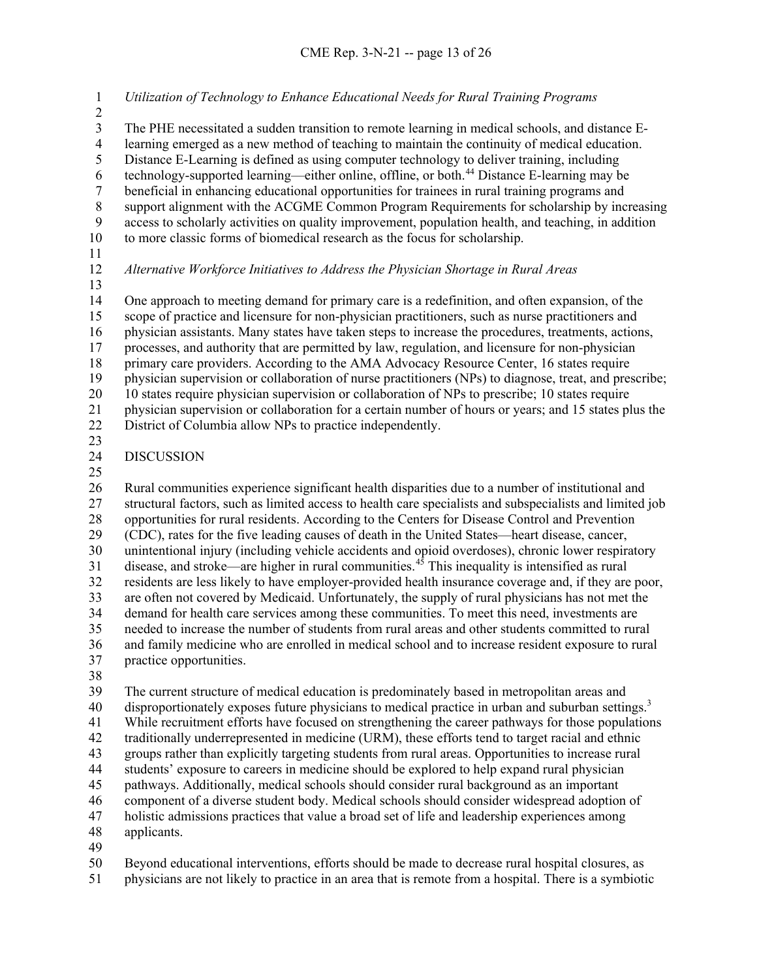*Utilization of Technology to Enhance Educational Needs for Rural Training Programs* 3 The PHE necessitated a sudden transition to remote learning in medical schools, and distance E-<br>4 learning emerged as a new method of teaching to maintain the continuity of medical education. 4 learning emerged as a new method of teaching to maintain the continuity of medical education.<br>5 Distance E-Learning is defined as using computer technology to deliver training, including Distance E-Learning is defined as using computer technology to deliver training, including technology-supported learning—either online, offline, or both.<sup>[44](#page-29-3)</sup> Distance E-learning may be<br>beneficial in enhancing educational opportunities for trainees in rural training programs and beneficial in enhancing educational opportunities for trainees in rural training programs and 8 support alignment with the ACGME Common Program Requirements for scholarship by increasing<br>9 access to scholarly activities on quality improvement, population health, and teaching, in addition access to scholarly activities on quality improvement, population health, and teaching, in addition to more classic forms of biomedical research as the focus for scholarship. *Alternative Workforce Initiatives to Address the Physician Shortage in Rural Areas* One approach to meeting demand for primary care is a redefinition, and often expansion, of the scope of practice and licensure for non-physician practitioners, such as nurse practitioners and physician assistants. Many states have taken steps to increase the procedures, treatments, actions, processes, and authority that are permitted by law, regulation, and licensure for non-physician primary care providers. According to the AMA Advocacy Resource Center, 16 states require physician supervision or collaboration of nurse practitioners (NPs) to diagnose, treat, and prescribe; 10 states require physician supervision or collaboration of NPs to prescribe; 10 states require physician supervision or collaboration for a certain number of hours or years; and 15 states plus the

- District of Columbia allow NPs to practice independently.
- 

## DISCUSSION

 Rural communities experience significant health disparities due to a number of institutional and structural factors, such as limited access to health care specialists and subspecialists and limited job opportunities for rural residents. According to the Centers for Disease Control and Prevention (CDC), rates for the five leading causes of death in the United States—heart disease, cancer, unintentional injury (including vehicle accidents and opioid overdoses), chronic lower respiratory 31 disease, and stroke—are higher in rural communities.<sup>[45](#page-29-4)</sup> This inequality is intensified as rural residents are less likely to have employer-provided health insurance coverage and, if they are poor, are often not covered by Medicaid. Unfortunately, the supply of rural physicians has not met the demand for health care services among these communities. To meet this need, investments are needed to increase the number of students from rural areas and other students committed to rural and family medicine who are enrolled in medical school and to increase resident exposure to rural practice opportunities.

 The current structure of medical education is predominately based in metropolitan areas and 40 disproportionately exposes future physicians to medical practice in urban and suburban settings.<sup>3</sup> While recruitment efforts have focused on strengthening the career pathways for those populations traditionally underrepresented in medicine (URM), these efforts tend to target racial and ethnic groups rather than explicitly targeting students from rural areas. Opportunities to increase rural students' exposure to careers in medicine should be explored to help expand rural physician pathways. Additionally, medical schools should consider rural background as an important component of a diverse student body. Medical schools should consider widespread adoption of holistic admissions practices that value a broad set of life and leadership experiences among applicants.

Beyond educational interventions, efforts should be made to decrease rural hospital closures, as

physicians are not likely to practice in an area that is remote from a hospital. There is a symbiotic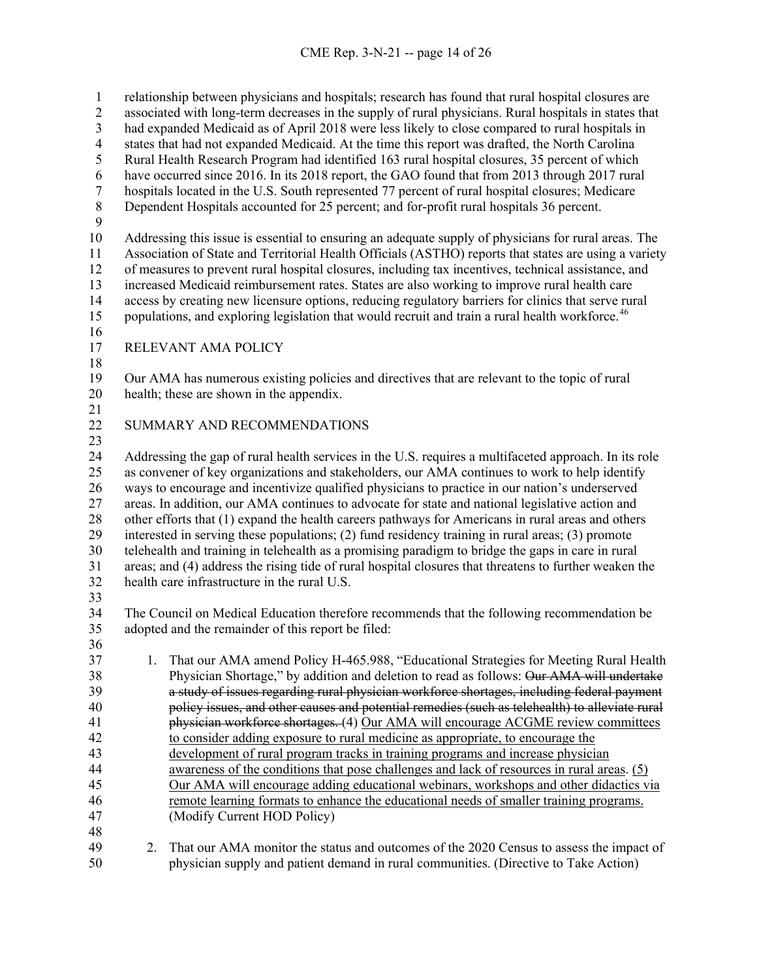relationship between physicians and hospitals; research has found that rural hospital closures are

 associated with long-term decreases in the supply of rural physicians. Rural hospitals in states that had expanded Medicaid as of April 2018 were less likely to close compared to rural hospitals in

states that had not expanded Medicaid. At the time this report was drafted, the North Carolina

Rural Health Research Program had identified 163 rural hospital closures, 35 percent of which

have occurred since 2016. In its 2018 report, the GAO found that from 2013 through 2017 rural

hospitals located in the U.S. South represented 77 percent of rural hospital closures; Medicare

Dependent Hospitals accounted for 25 percent; and for-profit rural hospitals 36 percent.

Addressing this issue is essential to ensuring an adequate supply of physicians for rural areas. The

Association of State and Territorial Health Officials (ASTHO) reports that states are using a variety

 of measures to prevent rural hospital closures, including tax incentives, technical assistance, and increased Medicaid reimbursement rates. States are also working to improve rural health care

 access by creating new licensure options, reducing regulatory barriers for clinics that serve rural 15 populations, and exploring legislation that would recruit and train a rural health workforce.<sup>[46](#page-29-16)</sup>

RELEVANT AMA POLICY

 Our AMA has numerous existing policies and directives that are relevant to the topic of rural health; these are shown in the appendix.

SUMMARY AND RECOMMENDATIONS

 Addressing the gap of rural health services in the U.S. requires a multifaceted approach. In its role as convener of key organizations and stakeholders, our AMA continues to work to help identify ways to encourage and incentivize qualified physicians to practice in our nation's underserved areas. In addition, our AMA continues to advocate for state and national legislative action and other efforts that (1) expand the health careers pathways for Americans in rural areas and others interested in serving these populations; (2) fund residency training in rural areas; (3) promote telehealth and training in telehealth as a promising paradigm to bridge the gaps in care in rural areas; and (4) address the rising tide of rural hospital closures that threatens to further weaken the health care infrastructure in the rural U.S.

 The Council on Medical Education therefore recommends that the following recommendation be adopted and the remainder of this report be filed:

- 1. That our AMA amend Policy H-465.988, "Educational Strategies for Meeting Rural Health Physician Shortage," by addition and deletion to read as follows: Our AMA will undertake a study of issues regarding rural physician workforce shortages, including federal payment policy issues, and other causes and potential remedies (such as telehealth) to alleviate rural physician workforce shortages. (4) Our AMA will encourage ACGME review committees to consider adding exposure to rural medicine as appropriate, to encourage the development of rural program tracks in training programs and increase physician awareness of the conditions that pose challenges and lack of resources in rural areas. (5) Our AMA will encourage adding educational webinars, workshops and other didactics via remote learning formats to enhance the educational needs of smaller training programs. (Modify Current HOD Policy)
- 2. That our AMA monitor the status and outcomes of the 2020 Census to assess the impact of physician supply and patient demand in rural communities. (Directive to Take Action)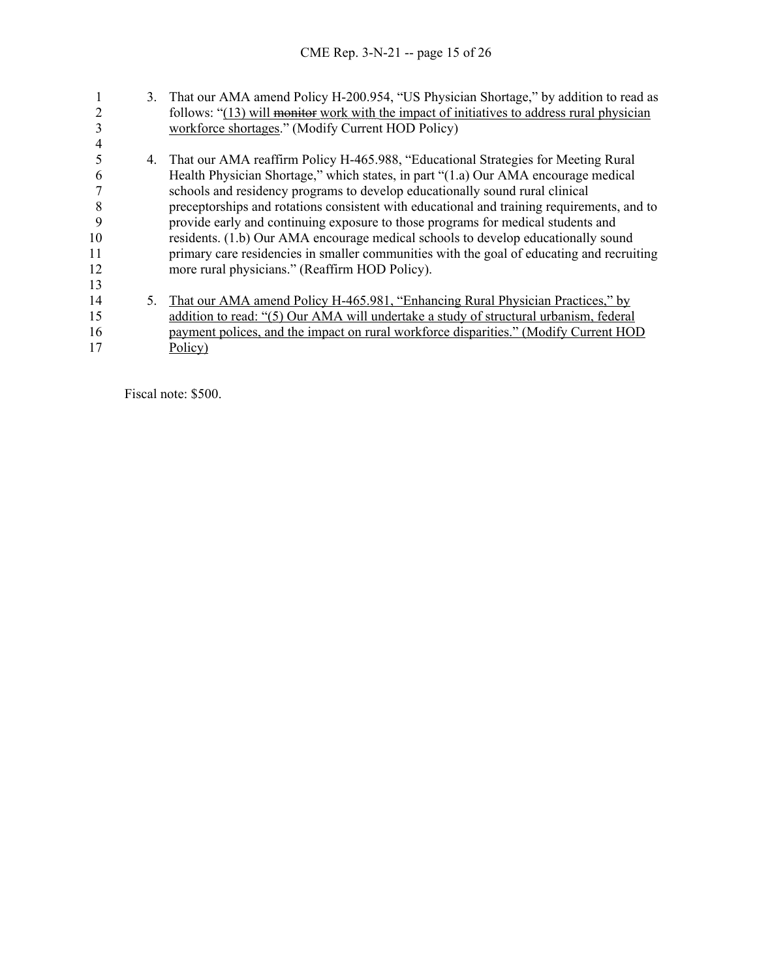|    | 3. | That our AMA amend Policy H-200.954, "US Physician Shortage," by addition to read as       |
|----|----|--------------------------------------------------------------------------------------------|
|    |    | follows: "(13) will monitor work with the impact of initiatives to address rural physician |
|    |    | workforce shortages." (Modify Current HOD Policy)                                          |
|    |    |                                                                                            |
|    |    | 4. That our AMA reaffirm Policy H-465.988, "Educational Strategies for Meeting Rural       |
| b  |    | Health Physician Shortage," which states, in part "(1.a) Our AMA encourage medical         |
|    |    | schools and residency programs to develop educationally sound rural clinical               |
| 8  |    | preceptorships and rotations consistent with educational and training requirements, and to |
| 9  |    | provide early and continuing exposure to those programs for medical students and           |
| 10 |    | residents. (1.b) Our AMA encourage medical schools to develop educationally sound          |
| 11 |    | primary care residencies in smaller communities with the goal of educating and recruiting  |
| 12 |    | more rural physicians." (Reaffirm HOD Policy).                                             |
| 13 |    |                                                                                            |
| 14 | 5. | That our AMA amend Policy H-465.981, "Enhancing Rural Physician Practices," by             |
| 15 |    | addition to read: "(5) Our AMA will undertake a study of structural urbanism, federal      |
| 16 |    | payment polices, and the impact on rural workforce disparities." (Modify Current HOD       |
| 17 |    | Policy)                                                                                    |

Fiscal note: \$500.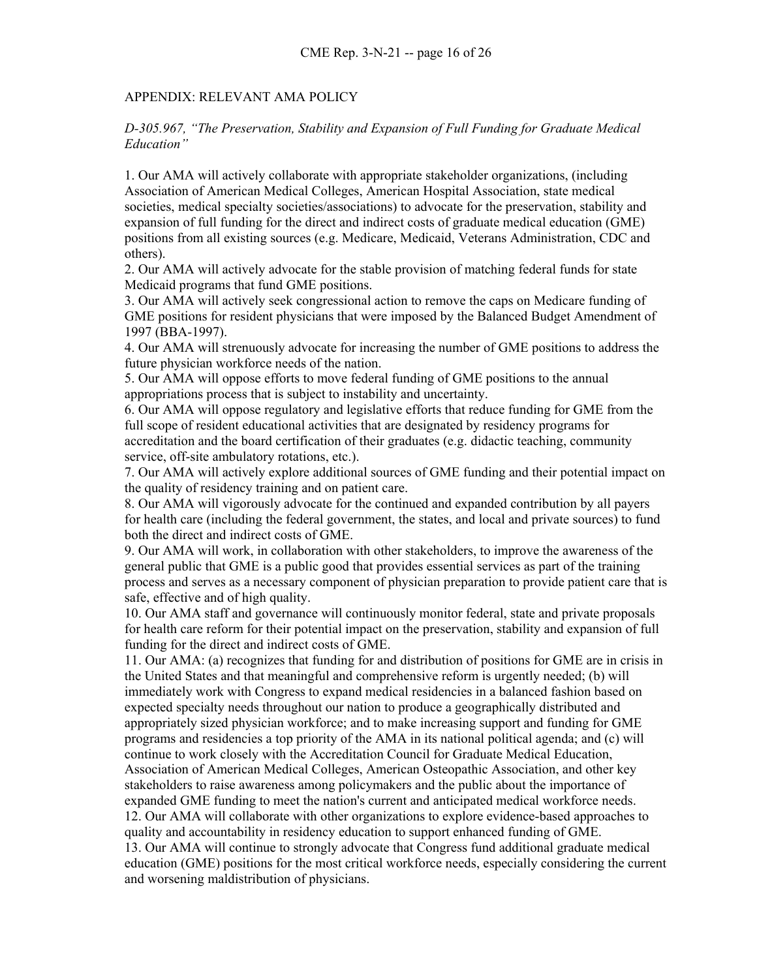#### APPENDIX: RELEVANT AMA POLICY

### *D-305.967, "The Preservation, Stability and Expansion of Full Funding for Graduate Medical Education"*

1. Our AMA will actively collaborate with appropriate stakeholder organizations, (including Association of American Medical Colleges, American Hospital Association, state medical societies, medical specialty societies/associations) to advocate for the preservation, stability and expansion of full funding for the direct and indirect costs of graduate medical education (GME) positions from all existing sources (e.g. Medicare, Medicaid, Veterans Administration, CDC and others).

2. Our AMA will actively advocate for the stable provision of matching federal funds for state Medicaid programs that fund GME positions.

3. Our AMA will actively seek congressional action to remove the caps on Medicare funding of GME positions for resident physicians that were imposed by the Balanced Budget Amendment of 1997 (BBA-1997).

4. Our AMA will strenuously advocate for increasing the number of GME positions to address the future physician workforce needs of the nation.

5. Our AMA will oppose efforts to move federal funding of GME positions to the annual appropriations process that is subject to instability and uncertainty.

6. Our AMA will oppose regulatory and legislative efforts that reduce funding for GME from the full scope of resident educational activities that are designated by residency programs for accreditation and the board certification of their graduates (e.g. didactic teaching, community service, off-site ambulatory rotations, etc.).

7. Our AMA will actively explore additional sources of GME funding and their potential impact on the quality of residency training and on patient care.

8. Our AMA will vigorously advocate for the continued and expanded contribution by all payers for health care (including the federal government, the states, and local and private sources) to fund both the direct and indirect costs of GME.

9. Our AMA will work, in collaboration with other stakeholders, to improve the awareness of the general public that GME is a public good that provides essential services as part of the training process and serves as a necessary component of physician preparation to provide patient care that is safe, effective and of high quality.

10. Our AMA staff and governance will continuously monitor federal, state and private proposals for health care reform for their potential impact on the preservation, stability and expansion of full funding for the direct and indirect costs of GME.

11. Our AMA: (a) recognizes that funding for and distribution of positions for GME are in crisis in the United States and that meaningful and comprehensive reform is urgently needed; (b) will immediately work with Congress to expand medical residencies in a balanced fashion based on expected specialty needs throughout our nation to produce a geographically distributed and appropriately sized physician workforce; and to make increasing support and funding for GME programs and residencies a top priority of the AMA in its national political agenda; and (c) will continue to work closely with the Accreditation Council for Graduate Medical Education, Association of American Medical Colleges, American Osteopathic Association, and other key stakeholders to raise awareness among policymakers and the public about the importance of expanded GME funding to meet the nation's current and anticipated medical workforce needs. 12. Our AMA will collaborate with other organizations to explore evidence-based approaches to quality and accountability in residency education to support enhanced funding of GME. 13. Our AMA will continue to strongly advocate that Congress fund additional graduate medical education (GME) positions for the most critical workforce needs, especially considering the current and worsening maldistribution of physicians.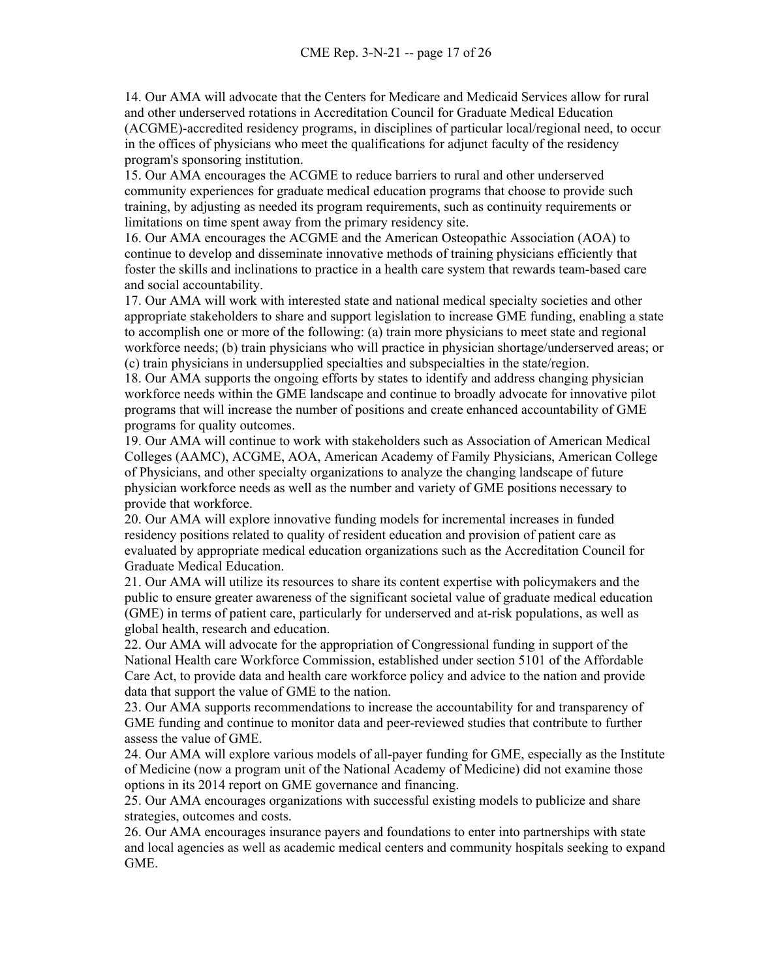14. Our AMA will advocate that the Centers for Medicare and Medicaid Services allow for rural and other underserved rotations in Accreditation Council for Graduate Medical Education (ACGME)-accredited residency programs, in disciplines of particular local/regional need, to occur in the offices of physicians who meet the qualifications for adjunct faculty of the residency program's sponsoring institution.

15. Our AMA encourages the ACGME to reduce barriers to rural and other underserved community experiences for graduate medical education programs that choose to provide such training, by adjusting as needed its program requirements, such as continuity requirements or limitations on time spent away from the primary residency site.

16. Our AMA encourages the ACGME and the American Osteopathic Association (AOA) to continue to develop and disseminate innovative methods of training physicians efficiently that foster the skills and inclinations to practice in a health care system that rewards team-based care and social accountability.

17. Our AMA will work with interested state and national medical specialty societies and other appropriate stakeholders to share and support legislation to increase GME funding, enabling a state to accomplish one or more of the following: (a) train more physicians to meet state and regional workforce needs; (b) train physicians who will practice in physician shortage/underserved areas; or (c) train physicians in undersupplied specialties and subspecialties in the state/region.

18. Our AMA supports the ongoing efforts by states to identify and address changing physician workforce needs within the GME landscape and continue to broadly advocate for innovative pilot programs that will increase the number of positions and create enhanced accountability of GME programs for quality outcomes.

19. Our AMA will continue to work with stakeholders such as Association of American Medical Colleges (AAMC), ACGME, AOA, American Academy of Family Physicians, American College of Physicians, and other specialty organizations to analyze the changing landscape of future physician workforce needs as well as the number and variety of GME positions necessary to provide that workforce.

20. Our AMA will explore innovative funding models for incremental increases in funded residency positions related to quality of resident education and provision of patient care as evaluated by appropriate medical education organizations such as the Accreditation Council for Graduate Medical Education.

21. Our AMA will utilize its resources to share its content expertise with policymakers and the public to ensure greater awareness of the significant societal value of graduate medical education (GME) in terms of patient care, particularly for underserved and at-risk populations, as well as global health, research and education.

22. Our AMA will advocate for the appropriation of Congressional funding in support of the National Health care Workforce Commission, established under section 5101 of the Affordable Care Act, to provide data and health care workforce policy and advice to the nation and provide data that support the value of GME to the nation.

23. Our AMA supports recommendations to increase the accountability for and transparency of GME funding and continue to monitor data and peer-reviewed studies that contribute to further assess the value of GME.

24. Our AMA will explore various models of all-payer funding for GME, especially as the Institute of Medicine (now a program unit of the National Academy of Medicine) did not examine those options in its 2014 report on GME governance and financing.

25. Our AMA encourages organizations with successful existing models to publicize and share strategies, outcomes and costs.

26. Our AMA encourages insurance payers and foundations to enter into partnerships with state and local agencies as well as academic medical centers and community hospitals seeking to expand GME.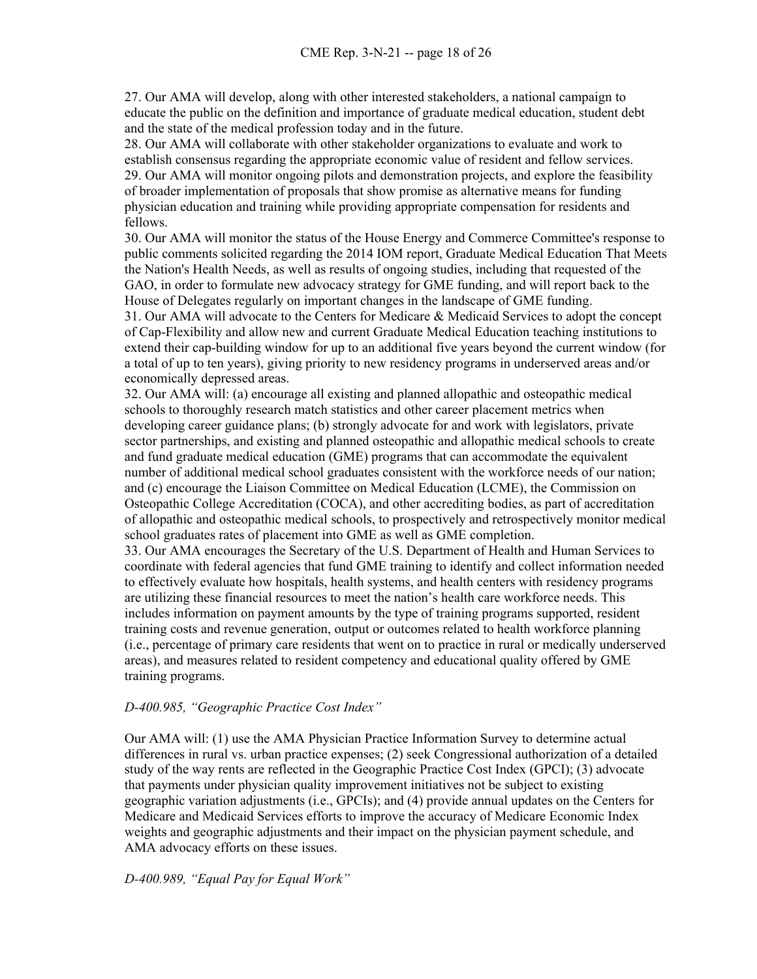27. Our AMA will develop, along with other interested stakeholders, a national campaign to educate the public on the definition and importance of graduate medical education, student debt and the state of the medical profession today and in the future.

28. Our AMA will collaborate with other stakeholder organizations to evaluate and work to establish consensus regarding the appropriate economic value of resident and fellow services. 29. Our AMA will monitor ongoing pilots and demonstration projects, and explore the feasibility of broader implementation of proposals that show promise as alternative means for funding physician education and training while providing appropriate compensation for residents and fellows.

30. Our AMA will monitor the status of the House Energy and Commerce Committee's response to public comments solicited regarding the 2014 IOM report, Graduate Medical Education That Meets the Nation's Health Needs, as well as results of ongoing studies, including that requested of the GAO, in order to formulate new advocacy strategy for GME funding, and will report back to the House of Delegates regularly on important changes in the landscape of GME funding.

31. Our AMA will advocate to the Centers for Medicare & Medicaid Services to adopt the concept of Cap-Flexibility and allow new and current Graduate Medical Education teaching institutions to extend their cap-building window for up to an additional five years beyond the current window (for a total of up to ten years), giving priority to new residency programs in underserved areas and/or economically depressed areas.

32. Our AMA will: (a) encourage all existing and planned allopathic and osteopathic medical schools to thoroughly research match statistics and other career placement metrics when developing career guidance plans; (b) strongly advocate for and work with legislators, private sector partnerships, and existing and planned osteopathic and allopathic medical schools to create and fund graduate medical education (GME) programs that can accommodate the equivalent number of additional medical school graduates consistent with the workforce needs of our nation; and (c) encourage the Liaison Committee on Medical Education (LCME), the Commission on Osteopathic College Accreditation (COCA), and other accrediting bodies, as part of accreditation of allopathic and osteopathic medical schools, to prospectively and retrospectively monitor medical school graduates rates of placement into GME as well as GME completion.

33. Our AMA encourages the Secretary of the U.S. Department of Health and Human Services to coordinate with federal agencies that fund GME training to identify and collect information needed to effectively evaluate how hospitals, health systems, and health centers with residency programs are utilizing these financial resources to meet the nation's health care workforce needs. This includes information on payment amounts by the type of training programs supported, resident training costs and revenue generation, output or outcomes related to health workforce planning (i.e., percentage of primary care residents that went on to practice in rural or medically underserved areas), and measures related to resident competency and educational quality offered by GME training programs.

### *D-400.985, "Geographic Practice Cost Index"*

Our AMA will: (1) use the AMA Physician Practice Information Survey to determine actual differences in rural vs. urban practice expenses; (2) seek Congressional authorization of a detailed study of the way rents are reflected in the Geographic Practice Cost Index (GPCI); (3) advocate that payments under physician quality improvement initiatives not be subject to existing geographic variation adjustments (i.e., GPCIs); and (4) provide annual updates on the Centers for Medicare and Medicaid Services efforts to improve the accuracy of Medicare Economic Index weights and geographic adjustments and their impact on the physician payment schedule, and AMA advocacy efforts on these issues.

### *D-400.989, "Equal Pay for Equal Work"*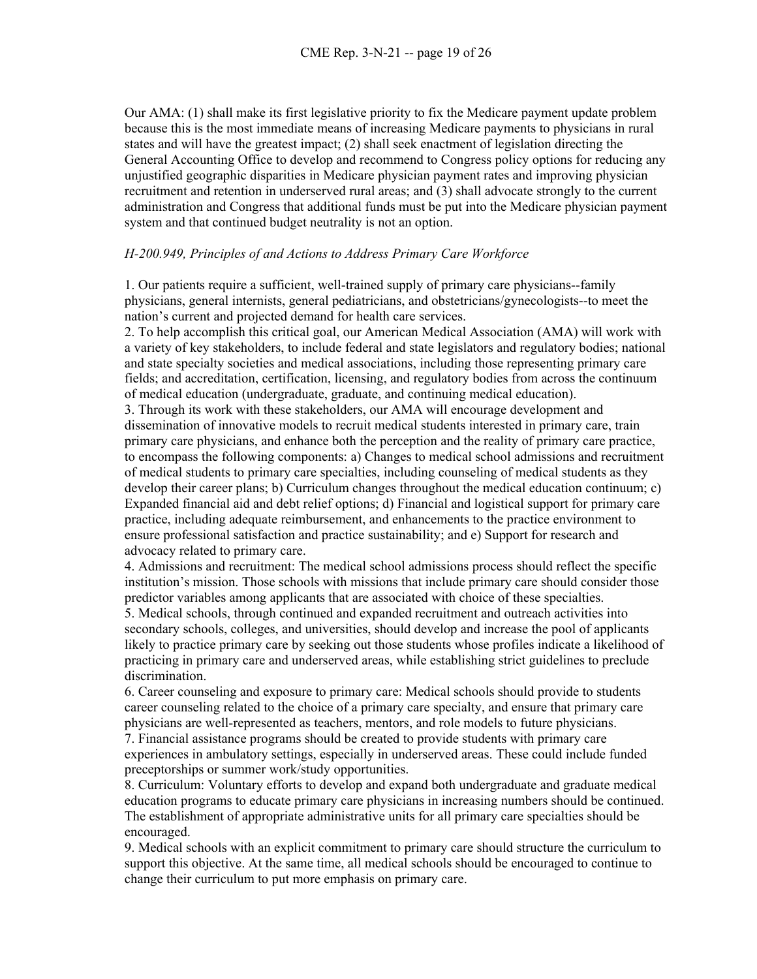Our AMA: (1) shall make its first legislative priority to fix the Medicare payment update problem because this is the most immediate means of increasing Medicare payments to physicians in rural states and will have the greatest impact; (2) shall seek enactment of legislation directing the General Accounting Office to develop and recommend to Congress policy options for reducing any unjustified geographic disparities in Medicare physician payment rates and improving physician recruitment and retention in underserved rural areas; and (3) shall advocate strongly to the current administration and Congress that additional funds must be put into the Medicare physician payment system and that continued budget neutrality is not an option.

#### *H-200.949, Principles of and Actions to Address Primary Care Workforce*

1. Our patients require a sufficient, well-trained supply of primary care physicians--family physicians, general internists, general pediatricians, and obstetricians/gynecologists--to meet the nation's current and projected demand for health care services.

2. To help accomplish this critical goal, our American Medical Association (AMA) will work with a variety of key stakeholders, to include federal and state legislators and regulatory bodies; national and state specialty societies and medical associations, including those representing primary care fields; and accreditation, certification, licensing, and regulatory bodies from across the continuum of medical education (undergraduate, graduate, and continuing medical education).

3. Through its work with these stakeholders, our AMA will encourage development and dissemination of innovative models to recruit medical students interested in primary care, train primary care physicians, and enhance both the perception and the reality of primary care practice, to encompass the following components: a) Changes to medical school admissions and recruitment of medical students to primary care specialties, including counseling of medical students as they develop their career plans; b) Curriculum changes throughout the medical education continuum; c) Expanded financial aid and debt relief options; d) Financial and logistical support for primary care practice, including adequate reimbursement, and enhancements to the practice environment to ensure professional satisfaction and practice sustainability; and e) Support for research and advocacy related to primary care.

4. Admissions and recruitment: The medical school admissions process should reflect the specific institution's mission. Those schools with missions that include primary care should consider those predictor variables among applicants that are associated with choice of these specialties.

5. Medical schools, through continued and expanded recruitment and outreach activities into secondary schools, colleges, and universities, should develop and increase the pool of applicants likely to practice primary care by seeking out those students whose profiles indicate a likelihood of practicing in primary care and underserved areas, while establishing strict guidelines to preclude discrimination.

6. Career counseling and exposure to primary care: Medical schools should provide to students career counseling related to the choice of a primary care specialty, and ensure that primary care physicians are well-represented as teachers, mentors, and role models to future physicians.

7. Financial assistance programs should be created to provide students with primary care experiences in ambulatory settings, especially in underserved areas. These could include funded preceptorships or summer work/study opportunities.

8. Curriculum: Voluntary efforts to develop and expand both undergraduate and graduate medical education programs to educate primary care physicians in increasing numbers should be continued. The establishment of appropriate administrative units for all primary care specialties should be encouraged.

9. Medical schools with an explicit commitment to primary care should structure the curriculum to support this objective. At the same time, all medical schools should be encouraged to continue to change their curriculum to put more emphasis on primary care.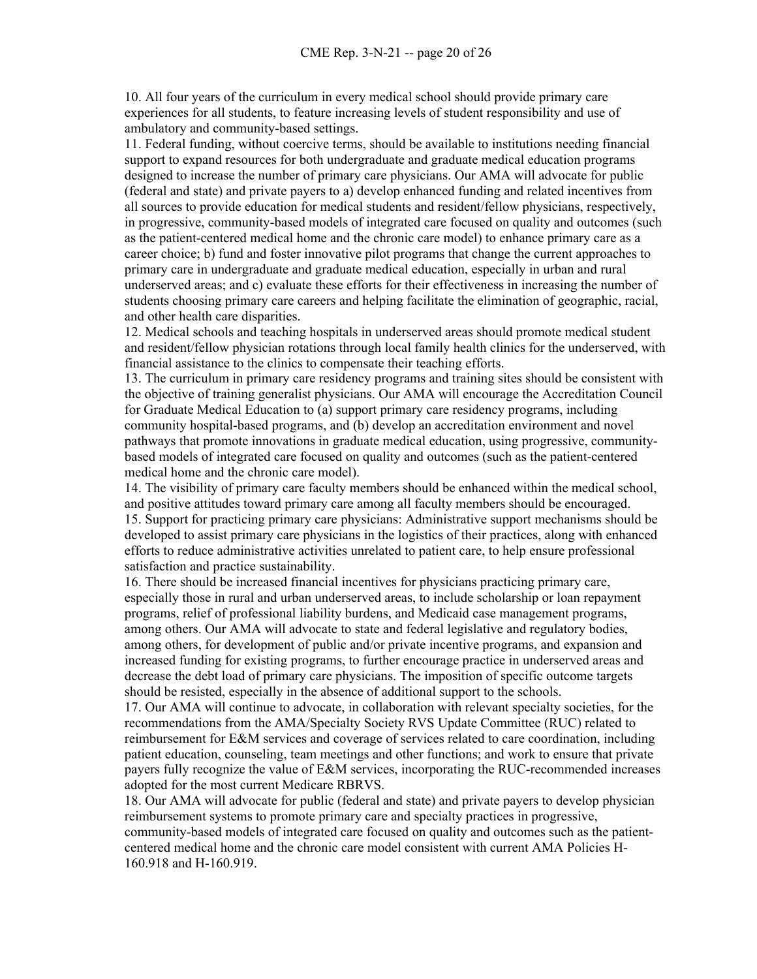10. All four years of the curriculum in every medical school should provide primary care experiences for all students, to feature increasing levels of student responsibility and use of ambulatory and community-based settings.

11. Federal funding, without coercive terms, should be available to institutions needing financial support to expand resources for both undergraduate and graduate medical education programs designed to increase the number of primary care physicians. Our AMA will advocate for public (federal and state) and private payers to a) develop enhanced funding and related incentives from all sources to provide education for medical students and resident/fellow physicians, respectively, in progressive, community-based models of integrated care focused on quality and outcomes (such as the patient-centered medical home and the chronic care model) to enhance primary care as a career choice; b) fund and foster innovative pilot programs that change the current approaches to primary care in undergraduate and graduate medical education, especially in urban and rural underserved areas; and c) evaluate these efforts for their effectiveness in increasing the number of students choosing primary care careers and helping facilitate the elimination of geographic, racial, and other health care disparities.

12. Medical schools and teaching hospitals in underserved areas should promote medical student and resident/fellow physician rotations through local family health clinics for the underserved, with financial assistance to the clinics to compensate their teaching efforts.

13. The curriculum in primary care residency programs and training sites should be consistent with the objective of training generalist physicians. Our AMA will encourage the Accreditation Council for Graduate Medical Education to (a) support primary care residency programs, including community hospital-based programs, and (b) develop an accreditation environment and novel pathways that promote innovations in graduate medical education, using progressive, communitybased models of integrated care focused on quality and outcomes (such as the patient-centered medical home and the chronic care model).

14. The visibility of primary care faculty members should be enhanced within the medical school, and positive attitudes toward primary care among all faculty members should be encouraged. 15. Support for practicing primary care physicians: Administrative support mechanisms should be developed to assist primary care physicians in the logistics of their practices, along with enhanced efforts to reduce administrative activities unrelated to patient care, to help ensure professional satisfaction and practice sustainability.

16. There should be increased financial incentives for physicians practicing primary care, especially those in rural and urban underserved areas, to include scholarship or loan repayment programs, relief of professional liability burdens, and Medicaid case management programs, among others. Our AMA will advocate to state and federal legislative and regulatory bodies, among others, for development of public and/or private incentive programs, and expansion and increased funding for existing programs, to further encourage practice in underserved areas and decrease the debt load of primary care physicians. The imposition of specific outcome targets should be resisted, especially in the absence of additional support to the schools.

17. Our AMA will continue to advocate, in collaboration with relevant specialty societies, for the recommendations from the AMA/Specialty Society RVS Update Committee (RUC) related to reimbursement for E&M services and coverage of services related to care coordination, including patient education, counseling, team meetings and other functions; and work to ensure that private payers fully recognize the value of E&M services, incorporating the RUC-recommended increases adopted for the most current Medicare RBRVS.

18. Our AMA will advocate for public (federal and state) and private payers to develop physician reimbursement systems to promote primary care and specialty practices in progressive, community-based models of integrated care focused on quality and outcomes such as the patientcentered medical home and the chronic care model consistent with current AMA Policies H-160.918 and H-160.919.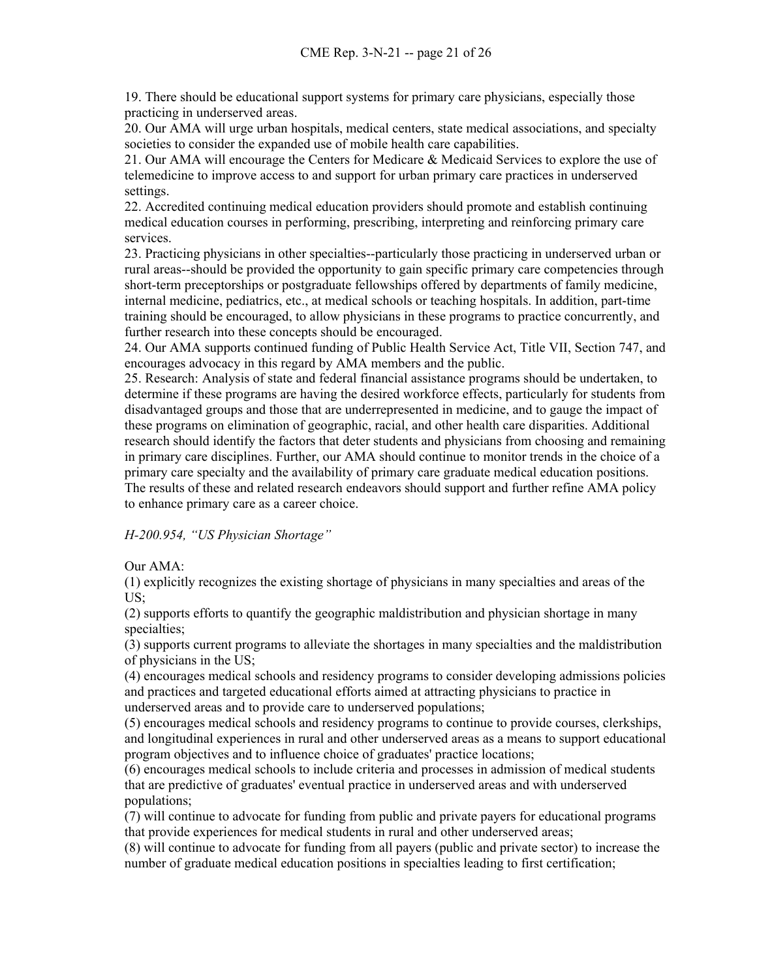19. There should be educational support systems for primary care physicians, especially those practicing in underserved areas.

20. Our AMA will urge urban hospitals, medical centers, state medical associations, and specialty societies to consider the expanded use of mobile health care capabilities.

21. Our AMA will encourage the Centers for Medicare & Medicaid Services to explore the use of telemedicine to improve access to and support for urban primary care practices in underserved settings.

22. Accredited continuing medical education providers should promote and establish continuing medical education courses in performing, prescribing, interpreting and reinforcing primary care services.

23. Practicing physicians in other specialties--particularly those practicing in underserved urban or rural areas--should be provided the opportunity to gain specific primary care competencies through short-term preceptorships or postgraduate fellowships offered by departments of family medicine, internal medicine, pediatrics, etc., at medical schools or teaching hospitals. In addition, part-time training should be encouraged, to allow physicians in these programs to practice concurrently, and further research into these concepts should be encouraged.

24. Our AMA supports continued funding of Public Health Service Act, Title VII, Section 747, and encourages advocacy in this regard by AMA members and the public.

25. Research: Analysis of state and federal financial assistance programs should be undertaken, to determine if these programs are having the desired workforce effects, particularly for students from disadvantaged groups and those that are underrepresented in medicine, and to gauge the impact of these programs on elimination of geographic, racial, and other health care disparities. Additional research should identify the factors that deter students and physicians from choosing and remaining in primary care disciplines. Further, our AMA should continue to monitor trends in the choice of a primary care specialty and the availability of primary care graduate medical education positions. The results of these and related research endeavors should support and further refine AMA policy to enhance primary care as a career choice.

*H-200.954, "US Physician Shortage"*

### Our AMA:

(1) explicitly recognizes the existing shortage of physicians in many specialties and areas of the US;

(2) supports efforts to quantify the geographic maldistribution and physician shortage in many specialties;

(3) supports current programs to alleviate the shortages in many specialties and the maldistribution of physicians in the US;

(4) encourages medical schools and residency programs to consider developing admissions policies and practices and targeted educational efforts aimed at attracting physicians to practice in underserved areas and to provide care to underserved populations;

(5) encourages medical schools and residency programs to continue to provide courses, clerkships, and longitudinal experiences in rural and other underserved areas as a means to support educational program objectives and to influence choice of graduates' practice locations;

(6) encourages medical schools to include criteria and processes in admission of medical students that are predictive of graduates' eventual practice in underserved areas and with underserved populations;

(7) will continue to advocate for funding from public and private payers for educational programs that provide experiences for medical students in rural and other underserved areas;

(8) will continue to advocate for funding from all payers (public and private sector) to increase the number of graduate medical education positions in specialties leading to first certification;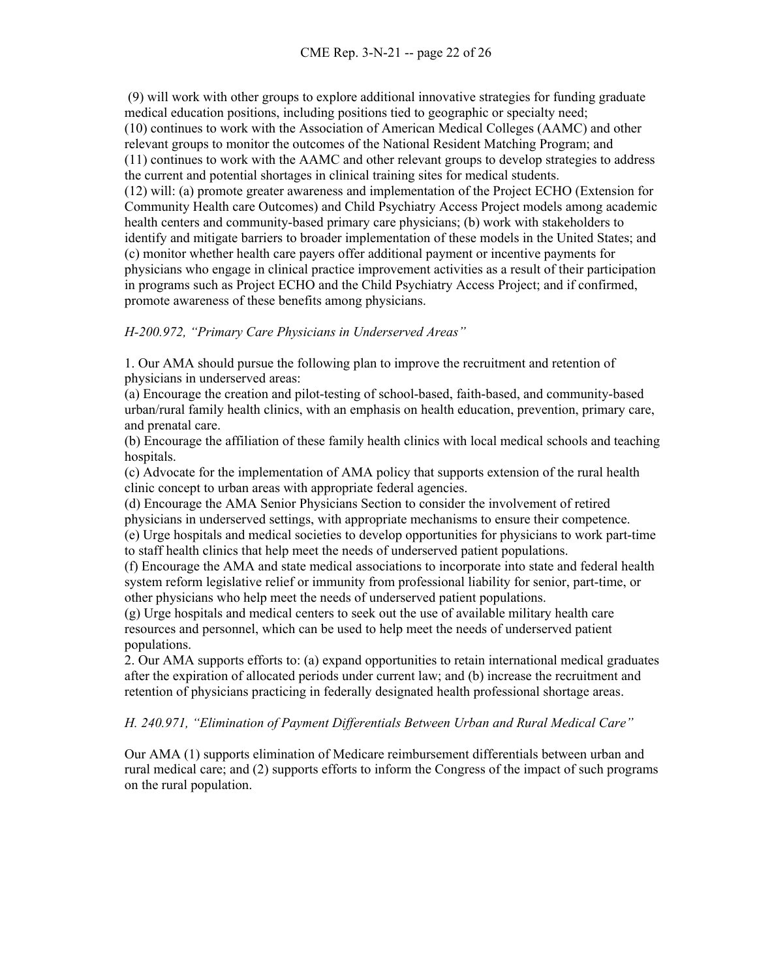(9) will work with other groups to explore additional innovative strategies for funding graduate medical education positions, including positions tied to geographic or specialty need; (10) continues to work with the Association of American Medical Colleges (AAMC) and other relevant groups to monitor the outcomes of the National Resident Matching Program; and (11) continues to work with the AAMC and other relevant groups to develop strategies to address the current and potential shortages in clinical training sites for medical students. (12) will: (a) promote greater awareness and implementation of the Project ECHO (Extension for Community Health care Outcomes) and Child Psychiatry Access Project models among academic health centers and community-based primary care physicians; (b) work with stakeholders to identify and mitigate barriers to broader implementation of these models in the United States; and (c) monitor whether health care payers offer additional payment or incentive payments for physicians who engage in clinical practice improvement activities as a result of their participation in programs such as Project ECHO and the Child Psychiatry Access Project; and if confirmed, promote awareness of these benefits among physicians.

### *H-200.972, "Primary Care Physicians in Underserved Areas"*

1. Our AMA should pursue the following plan to improve the recruitment and retention of physicians in underserved areas:

(a) Encourage the creation and pilot-testing of school-based, faith-based, and community-based urban/rural family health clinics, with an emphasis on health education, prevention, primary care, and prenatal care.

(b) Encourage the affiliation of these family health clinics with local medical schools and teaching hospitals.

(c) Advocate for the implementation of AMA policy that supports extension of the rural health clinic concept to urban areas with appropriate federal agencies.

(d) Encourage the AMA Senior Physicians Section to consider the involvement of retired physicians in underserved settings, with appropriate mechanisms to ensure their competence.

(e) Urge hospitals and medical societies to develop opportunities for physicians to work part-time to staff health clinics that help meet the needs of underserved patient populations.

(f) Encourage the AMA and state medical associations to incorporate into state and federal health system reform legislative relief or immunity from professional liability for senior, part-time, or other physicians who help meet the needs of underserved patient populations.

(g) Urge hospitals and medical centers to seek out the use of available military health care resources and personnel, which can be used to help meet the needs of underserved patient populations.

2. Our AMA supports efforts to: (a) expand opportunities to retain international medical graduates after the expiration of allocated periods under current law; and (b) increase the recruitment and retention of physicians practicing in federally designated health professional shortage areas.

### *H. 240.971, "Elimination of Payment Differentials Between Urban and Rural Medical Care"*

Our AMA (1) supports elimination of Medicare reimbursement differentials between urban and rural medical care; and (2) supports efforts to inform the Congress of the impact of such programs on the rural population.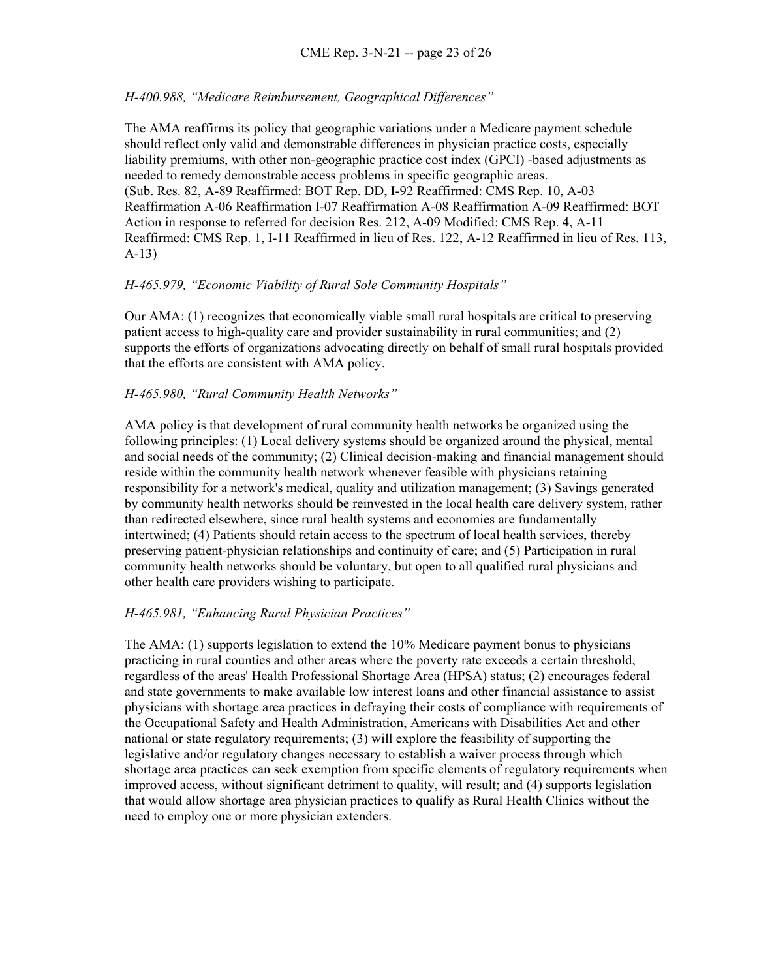### *H-400.988, "Medicare Reimbursement, Geographical Differences"*

The AMA reaffirms its policy that geographic variations under a Medicare payment schedule should reflect only valid and demonstrable differences in physician practice costs, especially liability premiums, with other non-geographic practice cost index (GPCI) -based adjustments as needed to remedy demonstrable access problems in specific geographic areas. (Sub. Res. 82, A-89 Reaffirmed: BOT Rep. DD, I-92 Reaffirmed: CMS Rep. 10, A-03 Reaffirmation A-06 Reaffirmation I-07 Reaffirmation A-08 Reaffirmation A-09 Reaffirmed: BOT Action in response to referred for decision Res. 212, A-09 Modified: CMS Rep. 4, A-11 Reaffirmed: CMS Rep. 1, I-11 Reaffirmed in lieu of Res. 122, A-12 Reaffirmed in lieu of Res. 113, A-13)

#### *H-465.979, "Economic Viability of Rural Sole Community Hospitals"*

Our AMA: (1) recognizes that economically viable small rural hospitals are critical to preserving patient access to high-quality care and provider sustainability in rural communities; and (2) supports the efforts of organizations advocating directly on behalf of small rural hospitals provided that the efforts are consistent with AMA policy.

#### *H-465.980, "Rural Community Health Networks"*

AMA policy is that development of rural community health networks be organized using the following principles: (1) Local delivery systems should be organized around the physical, mental and social needs of the community; (2) Clinical decision-making and financial management should reside within the community health network whenever feasible with physicians retaining responsibility for a network's medical, quality and utilization management; (3) Savings generated by community health networks should be reinvested in the local health care delivery system, rather than redirected elsewhere, since rural health systems and economies are fundamentally intertwined; (4) Patients should retain access to the spectrum of local health services, thereby preserving patient-physician relationships and continuity of care; and (5) Participation in rural community health networks should be voluntary, but open to all qualified rural physicians and other health care providers wishing to participate.

#### *H-465.981, "Enhancing Rural Physician Practices"*

The AMA: (1) supports legislation to extend the 10% Medicare payment bonus to physicians practicing in rural counties and other areas where the poverty rate exceeds a certain threshold, regardless of the areas' Health Professional Shortage Area (HPSA) status; (2) encourages federal and state governments to make available low interest loans and other financial assistance to assist physicians with shortage area practices in defraying their costs of compliance with requirements of the Occupational Safety and Health Administration, Americans with Disabilities Act and other national or state regulatory requirements; (3) will explore the feasibility of supporting the legislative and/or regulatory changes necessary to establish a waiver process through which shortage area practices can seek exemption from specific elements of regulatory requirements when improved access, without significant detriment to quality, will result; and (4) supports legislation that would allow shortage area physician practices to qualify as Rural Health Clinics without the need to employ one or more physician extenders.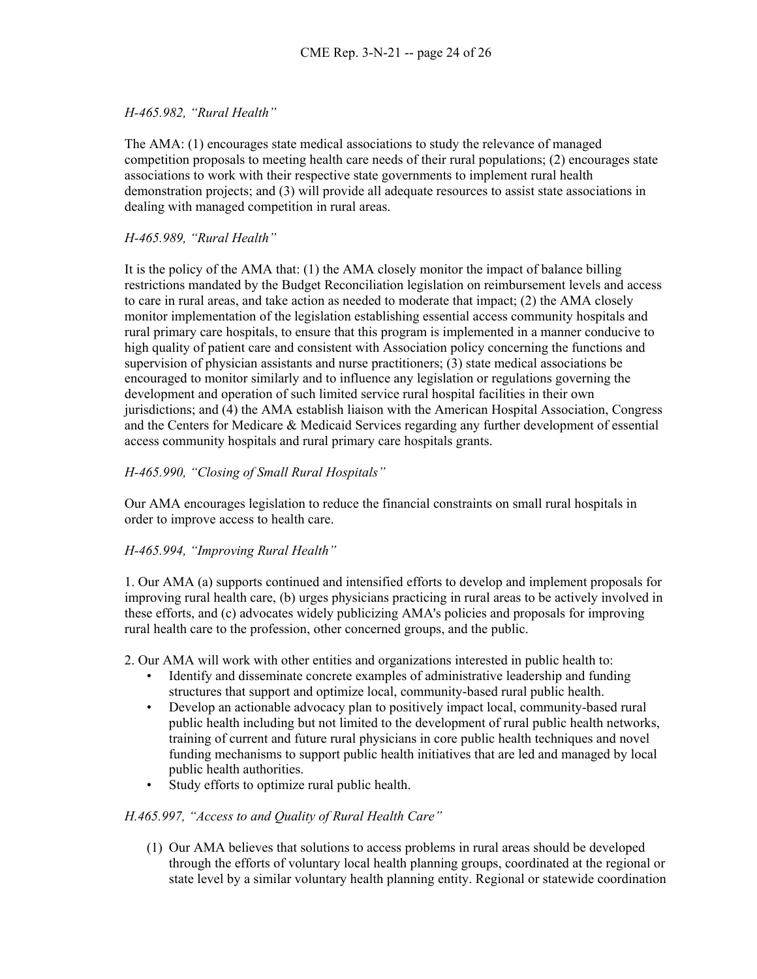### *H-465.982, "Rural Health"*

The AMA: (1) encourages state medical associations to study the relevance of managed competition proposals to meeting health care needs of their rural populations; (2) encourages state associations to work with their respective state governments to implement rural health demonstration projects; and (3) will provide all adequate resources to assist state associations in dealing with managed competition in rural areas.

### *H-465.989, "Rural Health"*

It is the policy of the AMA that: (1) the AMA closely monitor the impact of balance billing restrictions mandated by the Budget Reconciliation legislation on reimbursement levels and access to care in rural areas, and take action as needed to moderate that impact; (2) the AMA closely monitor implementation of the legislation establishing essential access community hospitals and rural primary care hospitals, to ensure that this program is implemented in a manner conducive to high quality of patient care and consistent with Association policy concerning the functions and supervision of physician assistants and nurse practitioners; (3) state medical associations be encouraged to monitor similarly and to influence any legislation or regulations governing the development and operation of such limited service rural hospital facilities in their own jurisdictions; and (4) the AMA establish liaison with the American Hospital Association, Congress and the Centers for Medicare & Medicaid Services regarding any further development of essential access community hospitals and rural primary care hospitals grants.

### *H-465.990, "Closing of Small Rural Hospitals"*

Our AMA encourages legislation to reduce the financial constraints on small rural hospitals in order to improve access to health care.

## *H-465.994, "Improving Rural Health"*

1. Our AMA (a) supports continued and intensified efforts to develop and implement proposals for improving rural health care, (b) urges physicians practicing in rural areas to be actively involved in these efforts, and (c) advocates widely publicizing AMA's policies and proposals for improving rural health care to the profession, other concerned groups, and the public.

2. Our AMA will work with other entities and organizations interested in public health to:

- Identify and disseminate concrete examples of administrative leadership and funding structures that support and optimize local, community-based rural public health.
- Develop an actionable advocacy plan to positively impact local, community-based rural public health including but not limited to the development of rural public health networks, training of current and future rural physicians in core public health techniques and novel funding mechanisms to support public health initiatives that are led and managed by local public health authorities.
- Study efforts to optimize rural public health.

### *H.465.997, "Access to and Quality of Rural Health Care"*

(1) Our AMA believes that solutions to access problems in rural areas should be developed through the efforts of voluntary local health planning groups, coordinated at the regional or state level by a similar voluntary health planning entity. Regional or statewide coordination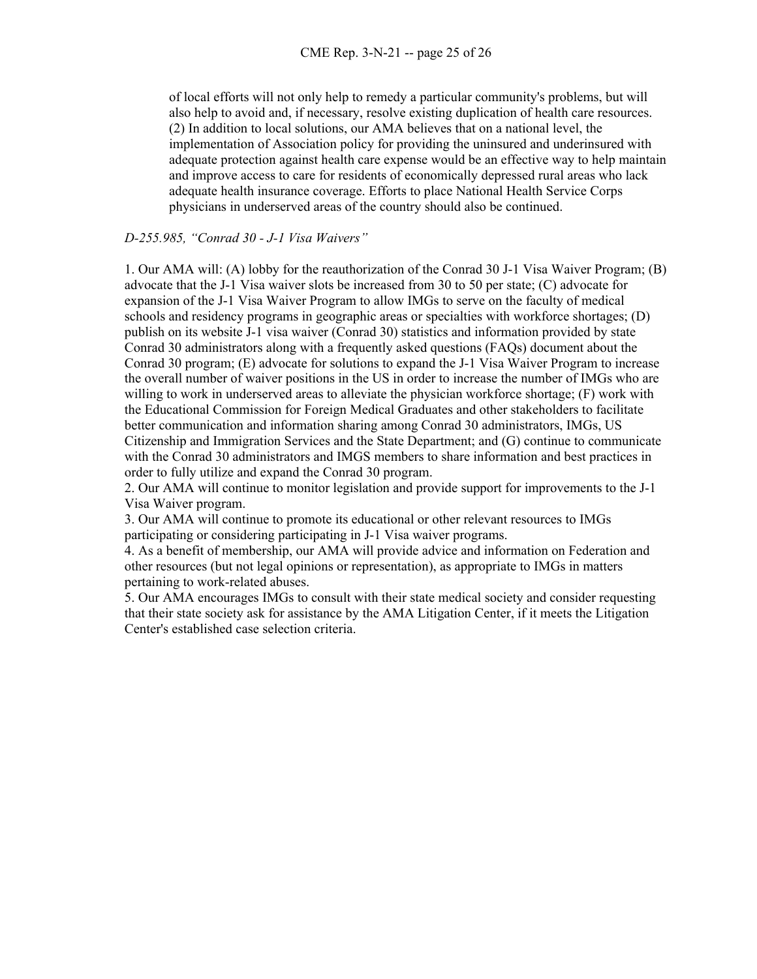of local efforts will not only help to remedy a particular community's problems, but will also help to avoid and, if necessary, resolve existing duplication of health care resources. (2) In addition to local solutions, our AMA believes that on a national level, the implementation of Association policy for providing the uninsured and underinsured with adequate protection against health care expense would be an effective way to help maintain and improve access to care for residents of economically depressed rural areas who lack adequate health insurance coverage. Efforts to place National Health Service Corps physicians in underserved areas of the country should also be continued.

#### *D-255.985, "Conrad 30 - J-1 Visa Waivers"*

1. Our AMA will: (A) lobby for the reauthorization of the Conrad 30 J-1 Visa Waiver Program; (B) advocate that the J-1 Visa waiver slots be increased from 30 to 50 per state; (C) advocate for expansion of the J-1 Visa Waiver Program to allow IMGs to serve on the faculty of medical schools and residency programs in geographic areas or specialties with workforce shortages; (D) publish on its website J-1 visa waiver (Conrad 30) statistics and information provided by state Conrad 30 administrators along with a frequently asked questions (FAQs) document about the Conrad 30 program; (E) advocate for solutions to expand the J-1 Visa Waiver Program to increase the overall number of waiver positions in the US in order to increase the number of IMGs who are willing to work in underserved areas to alleviate the physician workforce shortage; (F) work with the Educational Commission for Foreign Medical Graduates and other stakeholders to facilitate better communication and information sharing among Conrad 30 administrators, IMGs, US Citizenship and Immigration Services and the State Department; and (G) continue to communicate with the Conrad 30 administrators and IMGS members to share information and best practices in order to fully utilize and expand the Conrad 30 program.

2. Our AMA will continue to monitor legislation and provide support for improvements to the J-1 Visa Waiver program.

3. Our AMA will continue to promote its educational or other relevant resources to IMGs participating or considering participating in J-1 Visa waiver programs.

4. As a benefit of membership, our AMA will provide advice and information on Federation and other resources (but not legal opinions or representation), as appropriate to IMGs in matters pertaining to work-related abuses.

5. Our AMA encourages IMGs to consult with their state medical society and consider requesting that their state society ask for assistance by the AMA Litigation Center, if it meets the Litigation Center's established case selection criteria.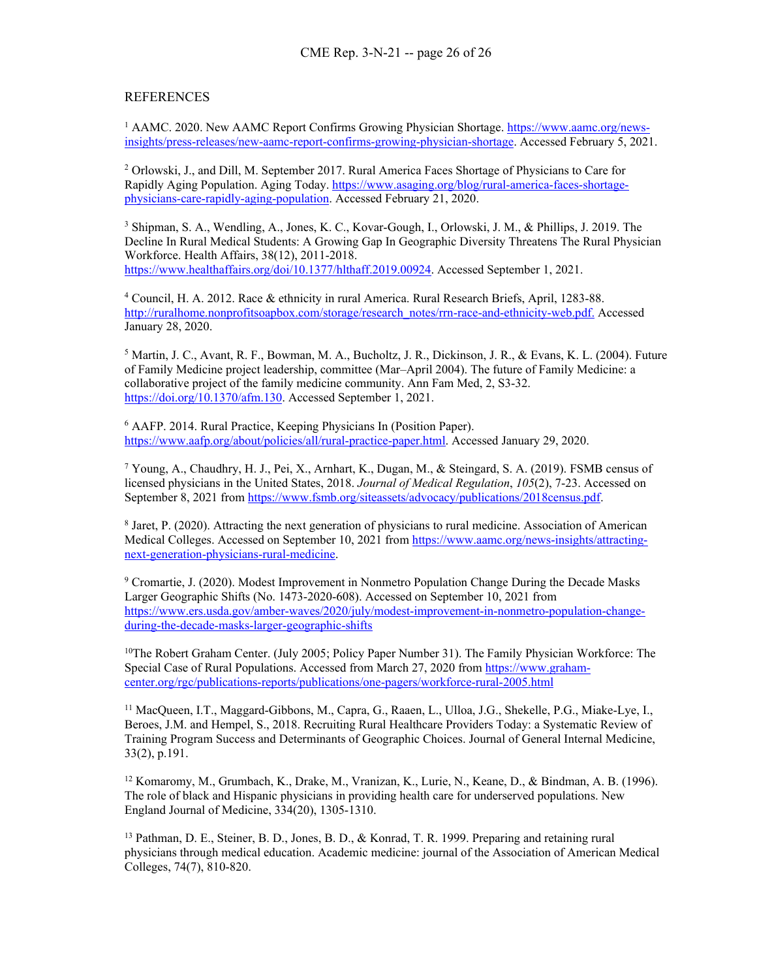#### **REFERENCES**

<sup>1</sup> AAMC. 2020. New AAMC Report Confirms Growing Physician Shortage. [https://www.aamc.org/news](https://www.aamc.org/news-insights/press-releases/new-aamc-report-confirms-growing-physician-shortage)[insights/press-releases/new-aamc-report-confirms-growing-physician-shortage.](https://www.aamc.org/news-insights/press-releases/new-aamc-report-confirms-growing-physician-shortage) Accessed February 5, 2021.

<sup>2</sup> Orlowski, J., and Dill, M. September 2017. Rural America Faces Shortage of Physicians to Care for Rapidly Aging Population. Aging Today. [https://www.asaging.org/blog/rural-america-faces-shortage](about:blank)[physicians-care-rapidly-aging-population.](about:blank) Accessed February 21, 2020.

<sup>3</sup> Shipman, S. A., Wendling, A., Jones, K. C., Kovar-Gough, I., Orlowski, J. M., & Phillips, J. 2019. The Decline In Rural Medical Students: A Growing Gap In Geographic Diversity Threatens The Rural Physician Workforce. Health Affairs, 38(12), 2011-2018. [https://www.healthaffairs.org/doi/10.1377/hlthaff.2019.00924.](https://www.healthaffairs.org/doi/10.1377/hlthaff.2019.00924) Accessed September 1, 2021.

<sup>4</sup> Council, H. A. 2012. Race & ethnicity in rural America. Rural Research Briefs, April, 1283-88. [http://ruralhome.nonprofitsoapbox.com/storage/research\\_notes/rrn-race-and-ethnicity-web.pdf.](about:blank) Accessed January 28, 2020.

<sup>5</sup> Martin, J. C., Avant, R. F., Bowman, M. A., Bucholtz, J. R., Dickinson, J. R., & Evans, K. L. (2004). Future of Family Medicine project leadership, committee (Mar–April 2004). The future of Family Medicine: a collaborative project of the family medicine community. Ann Fam Med, 2, S3-32. [https://doi.org/10.1370/afm.130.](https://doi.org/10.1370/afm.130) Accessed September 1, 2021.

<sup>6</sup> AAFP. 2014. Rural Practice, Keeping Physicians In (Position Paper). [https://www.aafp.org/about/policies/all/rural-practice-paper.html.](about:blank) Accessed January 29, 2020.

<sup>7</sup> Young, A., Chaudhry, H. J., Pei, X., Arnhart, K., Dugan, M., & Steingard, S. A. (2019). FSMB census of licensed physicians in the United States, 2018. *Journal of Medical Regulation*, *105*(2), 7-23. Accessed on September 8, 2021 from [https://www.fsmb.org/siteassets/advocacy/publications/2018census.pdf.](https://www.fsmb.org/siteassets/advocacy/publications/2018census.pdf)

<sup>8</sup> Jaret, P. (2020). Attracting the next generation of physicians to rural medicine. Association of American Medical Colleges. Accessed on September 10, 2021 fro[m https://www.aamc.org/news-insights/attracting](https://www.aamc.org/news-insights/attracting-next-generation-physicians-rural-medicine)[next-generation-physicians-rural-medicine.](https://www.aamc.org/news-insights/attracting-next-generation-physicians-rural-medicine)

<sup>9</sup> Cromartie, J. (2020). Modest Improvement in Nonmetro Population Change During the Decade Masks Larger Geographic Shifts (No. 1473-2020-608). Accessed on September 10, 2021 from [https://www.ers.usda.gov/amber-waves/2020/july/modest-improvement-in-nonmetro-population-change](https://www.ers.usda.gov/amber-waves/2020/july/modest-improvement-in-nonmetro-population-change-during-the-decade-masks-larger-geographic-shifts)[during-the-decade-masks-larger-geographic-shifts](https://www.ers.usda.gov/amber-waves/2020/july/modest-improvement-in-nonmetro-population-change-during-the-decade-masks-larger-geographic-shifts)

<sup>10</sup>The Robert Graham Center. (July 2005; Policy Paper Number 31). The Family Physician Workforce: The Special Case of Rural Populations. Accessed from March 27, 2020 from [https://www.graham](https://www.graham-center.org/rgc/publications-reports/publications/one-pagers/workforce-rural-2005.html)[center.org/rgc/publications-reports/publications/one-pagers/workforce-rural-2005.html](https://www.graham-center.org/rgc/publications-reports/publications/one-pagers/workforce-rural-2005.html)

<sup>11</sup> MacQueen, I.T., Maggard-Gibbons, M., Capra, G., Raaen, L., Ulloa, J.G., Shekelle, P.G., Miake-Lye, I., Beroes, J.M. and Hempel, S., 2018. Recruiting Rural Healthcare Providers Today: a Systematic Review of Training Program Success and Determinants of Geographic Choices. Journal of General Internal Medicine, 33(2), p.191.

<sup>12</sup> Komaromy, M., Grumbach, K., Drake, M., Vranizan, K., Lurie, N., Keane, D., & Bindman, A. B. (1996). The role of black and Hispanic physicians in providing health care for underserved populations. New England Journal of Medicine, 334(20), 1305-1310.

<sup>13</sup> Pathman, D. E., Steiner, B. D., Jones, B. D., & Konrad, T. R. 1999. Preparing and retaining rural physicians through medical education. Academic medicine: journal of the Association of American Medical Colleges, 74(7), 810-820.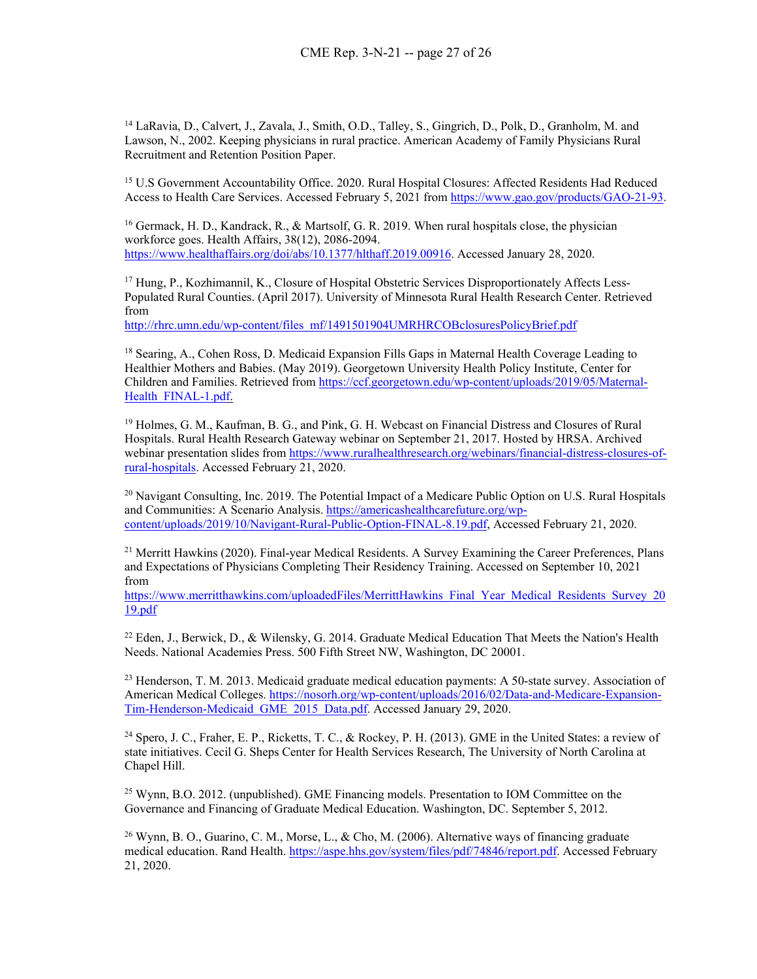<span id="page-27-0"></span><sup>14</sup> LaRavia, D., Calvert, J., Zavala, J., Smith, O.D., Talley, S., Gingrich, D., Polk, D., Granholm, M. and Lawson, N., 2002. Keeping physicians in rural practice. American Academy of Family Physicians Rural Recruitment and Retention Position Paper.

<span id="page-27-1"></span><sup>15</sup> U.S Government Accountability Office. 2020. Rural Hospital Closures: Affected Residents Had Reduced Access to Health Care Services. Accessed February 5, 2021 fro[m https://www.gao.gov/products/GAO-21-93.](https://www.gao.gov/products/GAO-21-93)

<span id="page-27-2"></span><sup>16</sup> Germack, H. D., Kandrack, R., & Martsolf, G. R. 2019. When rural hospitals close, the physician workforce goes. Health Affairs, 38(12), 2086-2094. [https://www.healthaffairs.org/doi/abs/10.1377/hlthaff.2019.00916.](about:blank) Accessed January 28, 2020.

<span id="page-27-3"></span><sup>17</sup> Hung, P., Kozhimannil, K., Closure of Hospital Obstetric Services Disproportionately Affects Less-Populated Rural Counties. (April 2017). University of Minnesota Rural Health Research Center. Retrieved from

[http://rhrc.umn.edu/wp-content/files\\_mf/1491501904UMRHRCOBclosuresPolicyBrief.pdf](http://rhrc.umn.edu/wp-content/files_mf/1491501904UMRHRCOBclosuresPolicyBrief.pdf)

<span id="page-27-4"></span><sup>18</sup> Searing, A., Cohen Ross, D. Medicaid Expansion Fills Gaps in Maternal Health Coverage Leading to Healthier Mothers and Babies. (May 2019). Georgetown University Health Policy Institute, Center for Children and Families. Retrieved from [https://ccf.georgetown.edu/wp-content/uploads/2019/05/Maternal-](https://ccf.georgetown.edu/wp-content/uploads/2019/05/Maternal-Health_FINAL-1.pdf)Health FINAL-1.pdf.

<span id="page-27-5"></span><sup>19</sup> Holmes, G. M., Kaufman, B. G., and Pink, G. H. Webcast on Financial Distress and Closures of Rural Hospitals. Rural Health Research Gateway webinar on September 21, 2017. Hosted by HRSA. Archived webinar presentation slides from [https://www.ruralhealthresearch.org/webinars/financial-distress-closures-of](about:blank)[rural-hospitals.](about:blank) Accessed February 21, 2020.

<span id="page-27-6"></span> $^{20}$  Navigant Consulting, Inc. 2019. The Potential Impact of a Medicare Public Option on U.S. Rural Hospitals and Communities: A Scenario Analysis. [https://americashealthcarefuture.org/wp](about:blank)[content/uploads/2019/10/Navigant-Rural-Public-Option-FINAL-8.19.pdf,](about:blank) Accessed February 21, 2020.

<span id="page-27-7"></span><sup>21</sup> Merritt Hawkins (2020). Final-year Medical Residents. A Survey Examining the Career Preferences, Plans and Expectations of Physicians Completing Their Residency Training. Accessed on September 10, 2021 from

<span id="page-27-8"></span>[https://www.merritthawkins.com/uploadedFiles/MerrittHawkins\\_Final\\_Year\\_Medical\\_Residents\\_Survey\\_20](https://www.merritthawkins.com/uploadedFiles/MerrittHawkins_Final_Year_Medical_Residents_Survey_2019.pdf) [19.pdf](https://www.merritthawkins.com/uploadedFiles/MerrittHawkins_Final_Year_Medical_Residents_Survey_2019.pdf)

<sup>22</sup> Eden, J., Berwick, D., & Wilensky, G. 2014. Graduate Medical Education That Meets the Nation's Health Needs. National Academies Press. 500 Fifth Street NW, Washington, DC 20001.

<span id="page-27-9"></span><sup>23</sup> Henderson, T. M. 2013. Medicaid graduate medical education payments: A 50-state survey. Association of American Medical Colleges. [https://nosorh.org/wp-content/uploads/2016/02/Data-and-Medicare-Expansion-](about:blank)[Tim-Henderson-Medicaid\\_GME\\_2015\\_Data.pdf.](about:blank) Accessed January 29, 2020.

<span id="page-27-10"></span><sup>24</sup> Spero, J. C., Fraher, E. P., Ricketts, T. C., & Rockey, P. H. (2013). GME in the United States: a review of state initiatives. Cecil G. Sheps Center for Health Services Research, The University of North Carolina at Chapel Hill.

<span id="page-27-11"></span><sup>25</sup> Wynn, B.O. 2012. (unpublished). GME Financing models. Presentation to IOM Committee on the Governance and Financing of Graduate Medical Education. Washington, DC. September 5, 2012.

<span id="page-27-12"></span><sup>26</sup> Wynn, B. O., Guarino, C. M., Morse, L., & Cho, M. (2006). Alternative ways of financing graduate medical education. Rand Health. [https://aspe.hhs.gov/system/files/pdf/74846/report.pdf.](about:blank) Accessed February 21, 2020.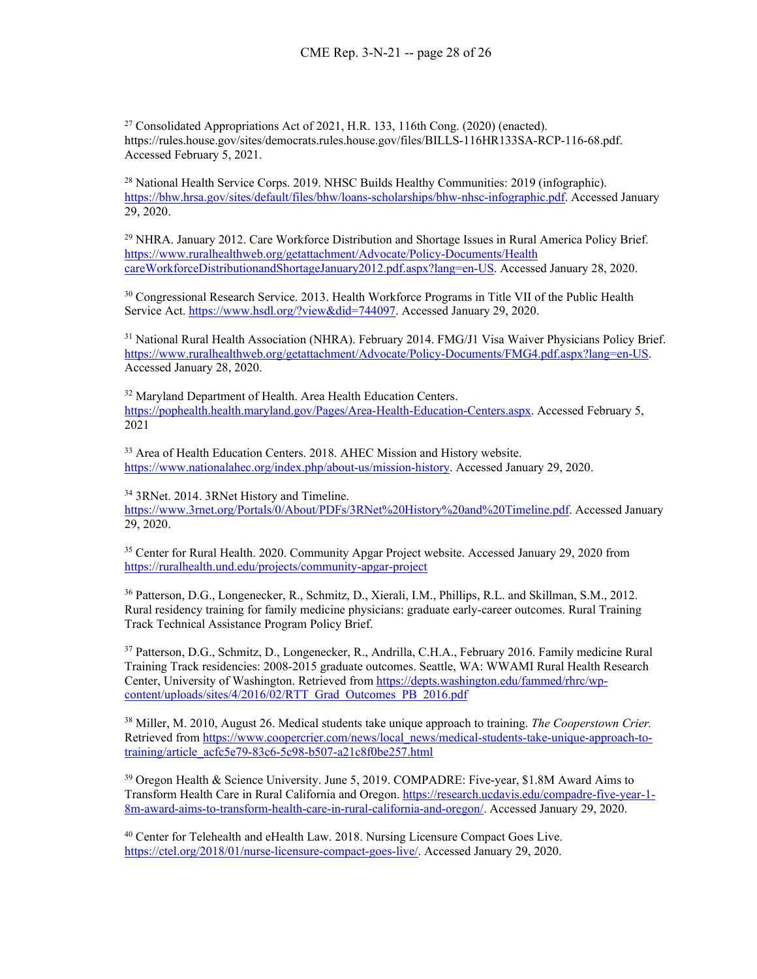<span id="page-28-0"></span> $27$  Consolidated Appropriations Act of 2021, H.R. 133, 116th Cong. (2020) (enacted). https://rules.house.gov/sites/democrats.rules.house.gov/files/BILLS-116HR133SA-RCP-116-68.pdf. Accessed February 5, 2021.

<span id="page-28-1"></span><sup>28</sup> National Health Service Corps. 2019. NHSC Builds Healthy Communities: 2019 (infographic). [https://bhw.hrsa.gov/sites/default/files/bhw/loans-scholarships/bhw-nhsc-infographic.pdf.](about:blank) Accessed January 29, 2020.

<span id="page-28-2"></span><sup>29</sup> NHRA. January 2012. Care Workforce Distribution and Shortage Issues in Rural America Policy Brief. [https://www.ruralhealthweb.org/getattachment/Advocate/Policy-Documents/Health](about:blank)  [careWorkforceDistributionandShortageJanuary2012.pdf.aspx?lang=en-US.](about:blank) Accessed January 28, 2020.

<span id="page-28-3"></span><sup>30</sup> Congressional Research Service. 2013. Health Workforce Programs in Title VII of the Public Health Service Act[. https://www.hsdl.org/?view&did=744097.](about:blank) Accessed January 29, 2020.

<span id="page-28-4"></span><sup>31</sup> National Rural Health Association (NHRA). February 2014. FMG/J1 Visa Waiver Physicians Policy Brief. [https://www.ruralhealthweb.org/getattachment/Advocate/Policy-Documents/FMG4.pdf.aspx?lang=en-US.](about:blank) Accessed January 28, 2020.

<span id="page-28-5"></span><sup>32</sup> Maryland Department of Health. Area Health Education Centers. [https://pophealth.health.maryland.gov/Pages/Area-Health-Education-Centers.aspx.](https://pophealth.health.maryland.gov/Pages/Area-Health-Education-Centers.aspx) Accessed February 5, 2021

<sup>33</sup> Area of Health Education Centers. 2018. AHEC Mission and History website. [https://www.nationalahec.org/index.php/about-us/mission-history.](about:blank) Accessed January 29, 2020.

<span id="page-28-6"></span><sup>34</sup> 3RNet. 2014. 3RNet History and Timeline.

[https://www.3rnet.org/Portals/0/About/PDFs/3RNet%20History%20and%20Timeline.pdf.](about:blank) Accessed January 29, 2020.

<span id="page-28-7"></span><sup>35</sup> Center for Rural Health. 2020. Community Apgar Project website. Accessed January 29, 2020 from [https://ruralhealth.und.edu/projects/community-apgar-project](about:blank)

<sup>36</sup> Patterson, D.G., Longenecker, R., Schmitz, D., Xierali, I.M., Phillips, R.L. and Skillman, S.M., 2012. Rural residency training for family medicine physicians: graduate early-career outcomes. Rural Training Track Technical Assistance Program Policy Brief.

<span id="page-28-9"></span><span id="page-28-8"></span><sup>37</sup> Patterson, D.G., Schmitz, D., Longenecker, R., Andrilla, C.H.A., February 2016. Family medicine Rural Training Track residencies: 2008-2015 graduate outcomes. Seattle, WA: WWAMI Rural Health Research Center, University of Washington. Retrieved fro[m https://depts.washington.edu/fammed/rhrc/wp](https://depts.washington.edu/fammed/rhrc/wp-content/uploads/sites/4/2016/02/RTT_Grad_Outcomes_PB_2016.pdf)[content/uploads/sites/4/2016/02/RTT\\_Grad\\_Outcomes\\_PB\\_2016.pdf](https://depts.washington.edu/fammed/rhrc/wp-content/uploads/sites/4/2016/02/RTT_Grad_Outcomes_PB_2016.pdf)

<span id="page-28-10"></span><sup>38</sup> Miller, M. 2010, August 26. Medical students take unique approach to training. *The Cooperstown Crier.* Retrieved from [https://www.coopercrier.com/news/local\\_news/medical-students-take-unique-approach-to](about:blank)[training/article\\_acfc5e79-83c6-5c98-b507-a21c8f0be257.html](about:blank)

<span id="page-28-11"></span><sup>39</sup> Oregon Health & Science University. June 5, 2019. COMPADRE: Five-year, \$1.8M Award Aims to Transform Health Care in Rural California and Oregon. [https://research.ucdavis.edu/compadre-five-year-1-](about:blank) [8m-award-aims-to-transform-health-care-in-rural-california-and-oregon/.](about:blank) Accessed January 29, 2020.

<span id="page-28-12"></span><sup>40</sup> Center for Telehealth and eHealth Law. 2018. Nursing Licensure Compact Goes Live. [https://ctel.org/2018/01/nurse-licensure-compact-goes-live/.](about:blank) Accessed January 29, 2020.